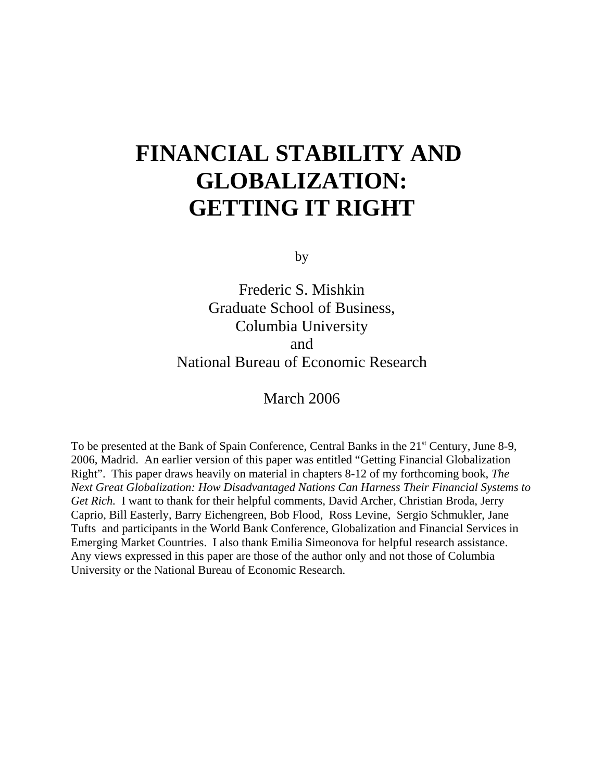# **FINANCIAL STABILITY AND GLOBALIZATION: GETTING IT RIGHT**

by

Frederic S. Mishkin Graduate School of Business, Columbia University and National Bureau of Economic Research

March 2006

To be presented at the Bank of Spain Conference, Central Banks in the 21<sup>st</sup> Century, June 8-9, 2006, Madrid. An earlier version of this paper was entitled "Getting Financial Globalization Right". This paper draws heavily on material in chapters 8-12 of my forthcoming book, *The Next Great Globalization: How Disadvantaged Nations Can Harness Their Financial Systems to Get Rich.* I want to thank for their helpful comments, David Archer, Christian Broda, Jerry Caprio, Bill Easterly, Barry Eichengreen, Bob Flood, Ross Levine, Sergio Schmukler, Jane Tufts and participants in the World Bank Conference, Globalization and Financial Services in Emerging Market Countries. I also thank Emilia Simeonova for helpful research assistance. Any views expressed in this paper are those of the author only and not those of Columbia University or the National Bureau of Economic Research.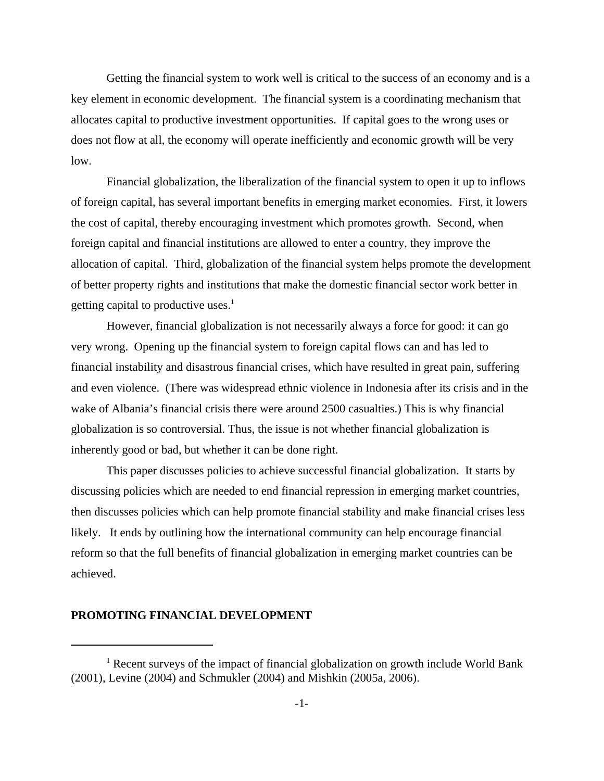Getting the financial system to work well is critical to the success of an economy and is a key element in economic development. The financial system is a coordinating mechanism that allocates capital to productive investment opportunities. If capital goes to the wrong uses or does not flow at all, the economy will operate inefficiently and economic growth will be very low.

Financial globalization, the liberalization of the financial system to open it up to inflows of foreign capital, has several important benefits in emerging market economies. First, it lowers the cost of capital, thereby encouraging investment which promotes growth. Second, when foreign capital and financial institutions are allowed to enter a country, they improve the allocation of capital. Third, globalization of the financial system helps promote the development of better property rights and institutions that make the domestic financial sector work better in getting capital to productive uses.<sup>1</sup>

However, financial globalization is not necessarily always a force for good: it can go very wrong. Opening up the financial system to foreign capital flows can and has led to financial instability and disastrous financial crises, which have resulted in great pain, suffering and even violence. (There was widespread ethnic violence in Indonesia after its crisis and in the wake of Albania's financial crisis there were around 2500 casualties.) This is why financial globalization is so controversial. Thus, the issue is not whether financial globalization is inherently good or bad, but whether it can be done right.

This paper discusses policies to achieve successful financial globalization. It starts by discussing policies which are needed to end financial repression in emerging market countries, then discusses policies which can help promote financial stability and make financial crises less likely. It ends by outlining how the international community can help encourage financial reform so that the full benefits of financial globalization in emerging market countries can be achieved.

#### **PROMOTING FINANCIAL DEVELOPMENT**

<sup>&</sup>lt;sup>1</sup> Recent surveys of the impact of financial globalization on growth include World Bank (2001), Levine (2004) and Schmukler (2004) and Mishkin (2005a, 2006).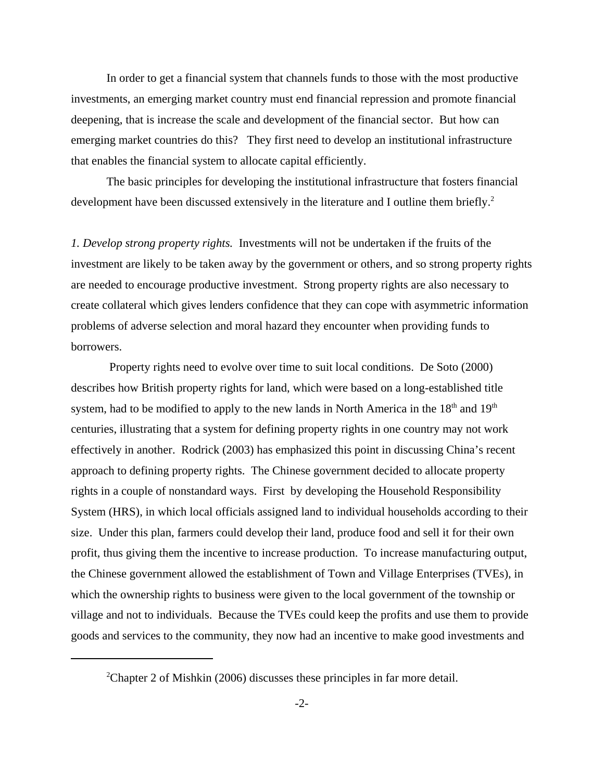In order to get a financial system that channels funds to those with the most productive investments, an emerging market country must end financial repression and promote financial deepening, that is increase the scale and development of the financial sector. But how can emerging market countries do this? They first need to develop an institutional infrastructure that enables the financial system to allocate capital efficiently.

The basic principles for developing the institutional infrastructure that fosters financial development have been discussed extensively in the literature and I outline them briefly.<sup>2</sup>

*1. Develop strong property rights.* Investments will not be undertaken if the fruits of the investment are likely to be taken away by the government or others, and so strong property rights are needed to encourage productive investment. Strong property rights are also necessary to create collateral which gives lenders confidence that they can cope with asymmetric information problems of adverse selection and moral hazard they encounter when providing funds to borrowers.

 Property rights need to evolve over time to suit local conditions. De Soto (2000) describes how British property rights for land, which were based on a long-established title system, had to be modified to apply to the new lands in North America in the  $18<sup>th</sup>$  and  $19<sup>th</sup>$ centuries, illustrating that a system for defining property rights in one country may not work effectively in another. Rodrick (2003) has emphasized this point in discussing China's recent approach to defining property rights. The Chinese government decided to allocate property rights in a couple of nonstandard ways. First by developing the Household Responsibility System (HRS), in which local officials assigned land to individual households according to their size. Under this plan, farmers could develop their land, produce food and sell it for their own profit, thus giving them the incentive to increase production. To increase manufacturing output, the Chinese government allowed the establishment of Town and Village Enterprises (TVEs), in which the ownership rights to business were given to the local government of the township or village and not to individuals. Because the TVEs could keep the profits and use them to provide goods and services to the community, they now had an incentive to make good investments and

 $2$ Chapter 2 of Mishkin (2006) discusses these principles in far more detail.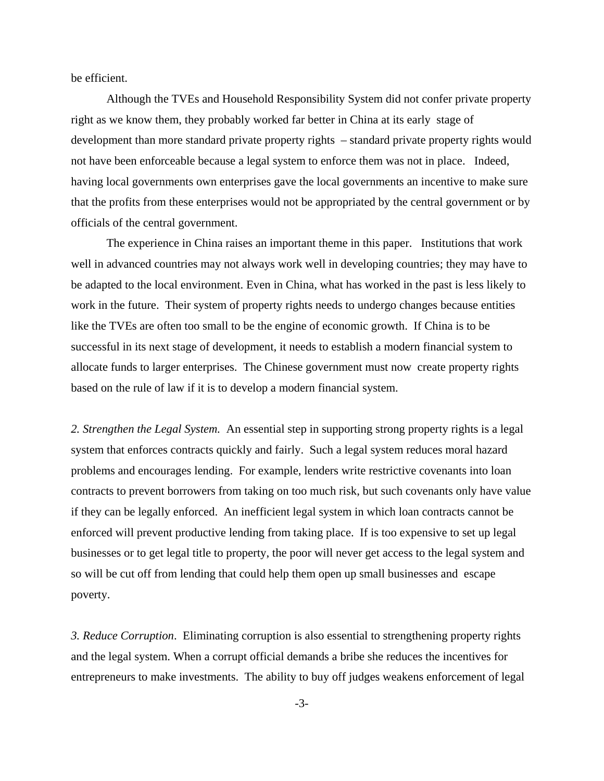be efficient.

Although the TVEs and Household Responsibility System did not confer private property right as we know them, they probably worked far better in China at its early stage of development than more standard private property rights – standard private property rights would not have been enforceable because a legal system to enforce them was not in place. Indeed, having local governments own enterprises gave the local governments an incentive to make sure that the profits from these enterprises would not be appropriated by the central government or by officials of the central government.

The experience in China raises an important theme in this paper. Institutions that work well in advanced countries may not always work well in developing countries; they may have to be adapted to the local environment. Even in China, what has worked in the past is less likely to work in the future. Their system of property rights needs to undergo changes because entities like the TVEs are often too small to be the engine of economic growth. If China is to be successful in its next stage of development, it needs to establish a modern financial system to allocate funds to larger enterprises. The Chinese government must now create property rights based on the rule of law if it is to develop a modern financial system.

*2. Strengthen the Legal System.* An essential step in supporting strong property rights is a legal system that enforces contracts quickly and fairly. Such a legal system reduces moral hazard problems and encourages lending. For example, lenders write restrictive covenants into loan contracts to prevent borrowers from taking on too much risk, but such covenants only have value if they can be legally enforced. An inefficient legal system in which loan contracts cannot be enforced will prevent productive lending from taking place. If is too expensive to set up legal businesses or to get legal title to property, the poor will never get access to the legal system and so will be cut off from lending that could help them open up small businesses and escape poverty.

*3. Reduce Corruption*. Eliminating corruption is also essential to strengthening property rights and the legal system. When a corrupt official demands a bribe she reduces the incentives for entrepreneurs to make investments. The ability to buy off judges weakens enforcement of legal

-3-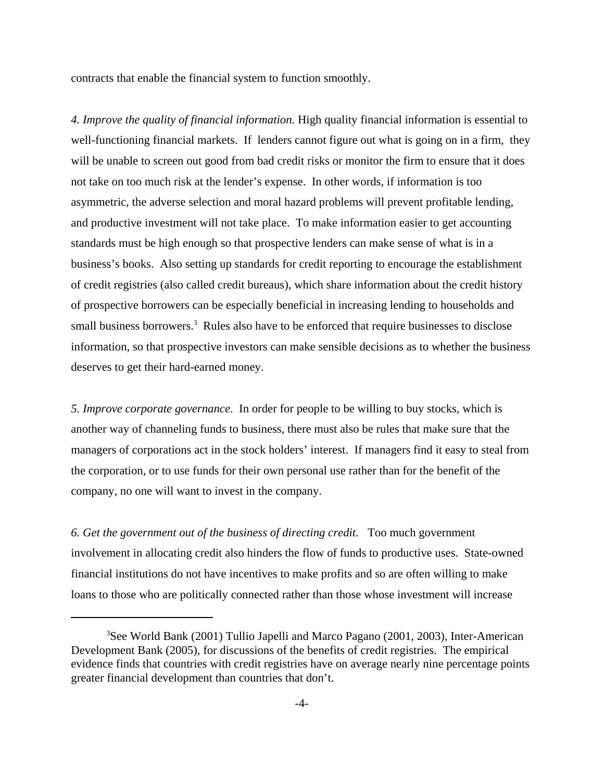contracts that enable the financial system to function smoothly.

*4. Improve the quality of financial information.* High quality financial information is essential to well-functioning financial markets. If lenders cannot figure out what is going on in a firm, they will be unable to screen out good from bad credit risks or monitor the firm to ensure that it does not take on too much risk at the lender's expense. In other words, if information is too asymmetric, the adverse selection and moral hazard problems will prevent profitable lending, and productive investment will not take place. To make information easier to get accounting standards must be high enough so that prospective lenders can make sense of what is in a business's books. Also setting up standards for credit reporting to encourage the establishment of credit registries (also called credit bureaus), which share information about the credit history of prospective borrowers can be especially beneficial in increasing lending to households and small business borrowers.<sup>3</sup> Rules also have to be enforced that require businesses to disclose information, so that prospective investors can make sensible decisions as to whether the business deserves to get their hard-earned money.

*5. Improve corporate governance*. In order for people to be willing to buy stocks, which is another way of channeling funds to business, there must also be rules that make sure that the managers of corporations act in the stock holders' interest. If managers find it easy to steal from the corporation, or to use funds for their own personal use rather than for the benefit of the company, no one will want to invest in the company.

*6. Get the government out of the business of directing credit.* Too much government involvement in allocating credit also hinders the flow of funds to productive uses. State-owned financial institutions do not have incentives to make profits and so are often willing to make loans to those who are politically connected rather than those whose investment will increase

<sup>&</sup>lt;sup>3</sup>See World Bank (2001) Tullio Japelli and Marco Pagano (2001, 2003), Inter-American Development Bank (2005), for discussions of the benefits of credit registries. The empirical evidence finds that countries with credit registries have on average nearly nine percentage points greater financial development than countries that don't.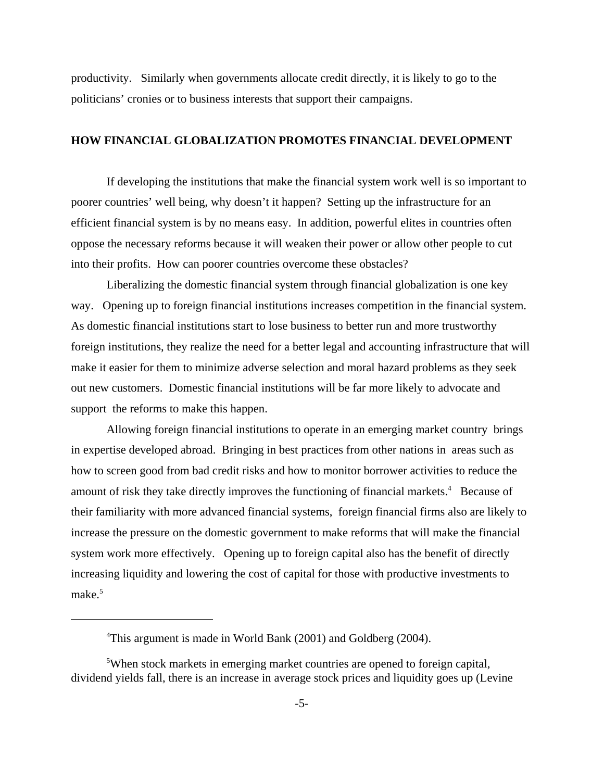productivity. Similarly when governments allocate credit directly, it is likely to go to the politicians' cronies or to business interests that support their campaigns.

#### **HOW FINANCIAL GLOBALIZATION PROMOTES FINANCIAL DEVELOPMENT**

If developing the institutions that make the financial system work well is so important to poorer countries' well being, why doesn't it happen? Setting up the infrastructure for an efficient financial system is by no means easy. In addition, powerful elites in countries often oppose the necessary reforms because it will weaken their power or allow other people to cut into their profits. How can poorer countries overcome these obstacles?

Liberalizing the domestic financial system through financial globalization is one key way. Opening up to foreign financial institutions increases competition in the financial system. As domestic financial institutions start to lose business to better run and more trustworthy foreign institutions, they realize the need for a better legal and accounting infrastructure that will make it easier for them to minimize adverse selection and moral hazard problems as they seek out new customers. Domestic financial institutions will be far more likely to advocate and support the reforms to make this happen.

Allowing foreign financial institutions to operate in an emerging market country brings in expertise developed abroad. Bringing in best practices from other nations in areas such as how to screen good from bad credit risks and how to monitor borrower activities to reduce the amount of risk they take directly improves the functioning of financial markets.<sup>4</sup> Because of their familiarity with more advanced financial systems, foreign financial firms also are likely to increase the pressure on the domestic government to make reforms that will make the financial system work more effectively. Opening up to foreign capital also has the benefit of directly increasing liquidity and lowering the cost of capital for those with productive investments to make.<sup>5</sup>

<sup>&</sup>lt;sup>4</sup>This argument is made in World Bank (2001) and Goldberg (2004).

<sup>&</sup>lt;sup>5</sup>When stock markets in emerging market countries are opened to foreign capital, dividend yields fall, there is an increase in average stock prices and liquidity goes up (Levine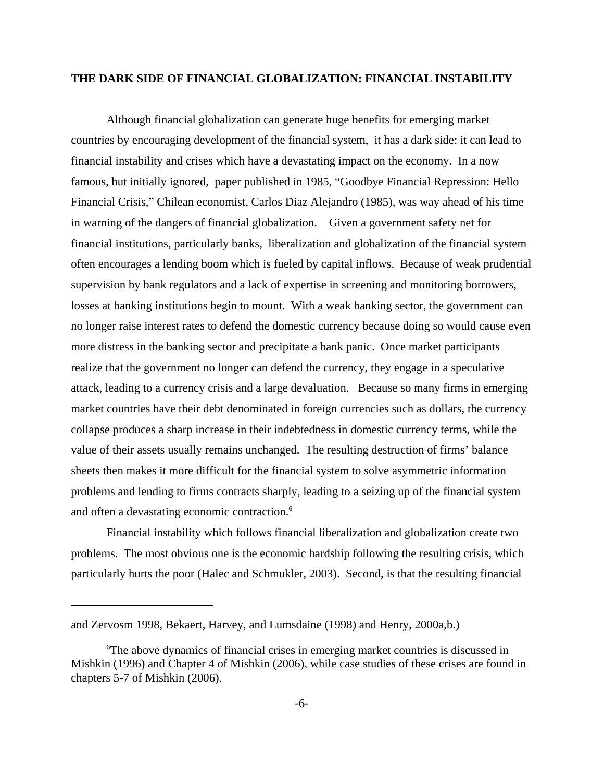# **THE DARK SIDE OF FINANCIAL GLOBALIZATION: FINANCIAL INSTABILITY**

Although financial globalization can generate huge benefits for emerging market countries by encouraging development of the financial system, it has a dark side: it can lead to financial instability and crises which have a devastating impact on the economy. In a now famous, but initially ignored, paper published in 1985, "Goodbye Financial Repression: Hello Financial Crisis," Chilean economist, Carlos Diaz Alejandro (1985), was way ahead of his time in warning of the dangers of financial globalization. Given a government safety net for financial institutions, particularly banks, liberalization and globalization of the financial system often encourages a lending boom which is fueled by capital inflows. Because of weak prudential supervision by bank regulators and a lack of expertise in screening and monitoring borrowers, losses at banking institutions begin to mount. With a weak banking sector, the government can no longer raise interest rates to defend the domestic currency because doing so would cause even more distress in the banking sector and precipitate a bank panic. Once market participants realize that the government no longer can defend the currency, they engage in a speculative attack, leading to a currency crisis and a large devaluation. Because so many firms in emerging market countries have their debt denominated in foreign currencies such as dollars, the currency collapse produces a sharp increase in their indebtedness in domestic currency terms, while the value of their assets usually remains unchanged. The resulting destruction of firms' balance sheets then makes it more difficult for the financial system to solve asymmetric information problems and lending to firms contracts sharply, leading to a seizing up of the financial system and often a devastating economic contraction.<sup>6</sup>

Financial instability which follows financial liberalization and globalization create two problems. The most obvious one is the economic hardship following the resulting crisis, which particularly hurts the poor (Halec and Schmukler, 2003). Second, is that the resulting financial

and Zervosm 1998, Bekaert, Harvey, and Lumsdaine (1998) and Henry, 2000a,b.)

<sup>6</sup> The above dynamics of financial crises in emerging market countries is discussed in Mishkin (1996) and Chapter 4 of Mishkin (2006), while case studies of these crises are found in chapters 5-7 of Mishkin (2006).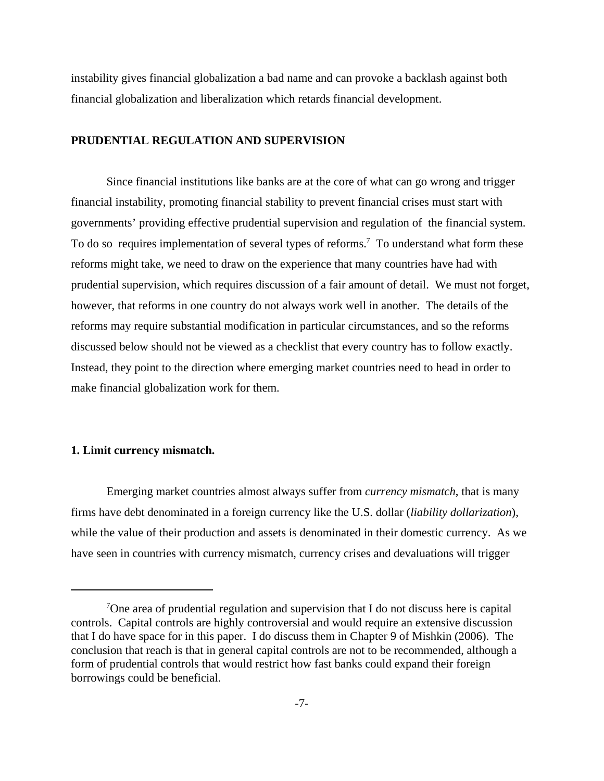instability gives financial globalization a bad name and can provoke a backlash against both financial globalization and liberalization which retards financial development.

# **PRUDENTIAL REGULATION AND SUPERVISION**

Since financial institutions like banks are at the core of what can go wrong and trigger financial instability, promoting financial stability to prevent financial crises must start with governments' providing effective prudential supervision and regulation of the financial system. To do so requires implementation of several types of reforms.<sup>7</sup> To understand what form these reforms might take, we need to draw on the experience that many countries have had with prudential supervision, which requires discussion of a fair amount of detail. We must not forget, however, that reforms in one country do not always work well in another. The details of the reforms may require substantial modification in particular circumstances, and so the reforms discussed below should not be viewed as a checklist that every country has to follow exactly. Instead, they point to the direction where emerging market countries need to head in order to make financial globalization work for them.

# **1. Limit currency mismatch.**

Emerging market countries almost always suffer from *currency mismatch*, that is many firms have debt denominated in a foreign currency like the U.S. dollar (*liability dollarization*), while the value of their production and assets is denominated in their domestic currency. As we have seen in countries with currency mismatch, currency crises and devaluations will trigger

<sup>&</sup>lt;sup>7</sup>One area of prudential regulation and supervision that I do not discuss here is capital controls. Capital controls are highly controversial and would require an extensive discussion that I do have space for in this paper. I do discuss them in Chapter 9 of Mishkin (2006). The conclusion that reach is that in general capital controls are not to be recommended, although a form of prudential controls that would restrict how fast banks could expand their foreign borrowings could be beneficial.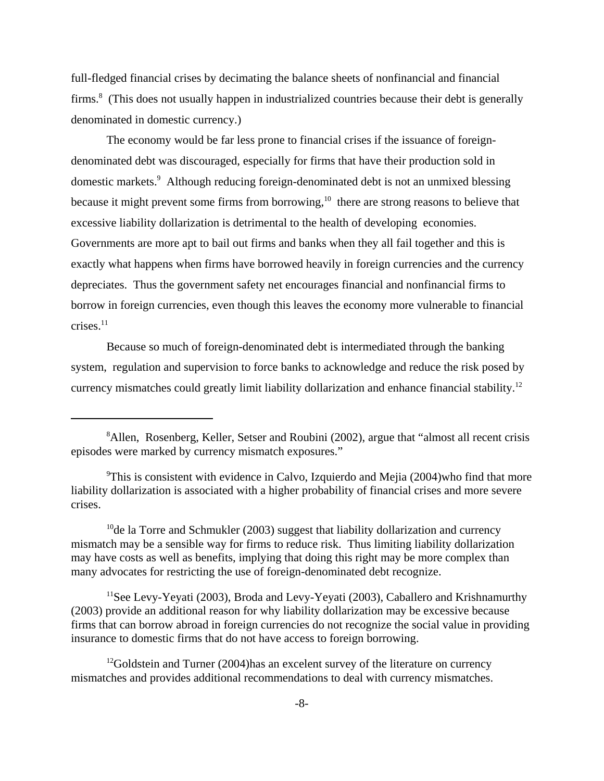full-fledged financial crises by decimating the balance sheets of nonfinancial and financial firms.<sup>8</sup> (This does not usually happen in industrialized countries because their debt is generally denominated in domestic currency.)

The economy would be far less prone to financial crises if the issuance of foreigndenominated debt was discouraged, especially for firms that have their production sold in domestic markets.<sup>9</sup> Although reducing foreign-denominated debt is not an unmixed blessing because it might prevent some firms from borrowing, $10$  there are strong reasons to believe that excessive liability dollarization is detrimental to the health of developing economies. Governments are more apt to bail out firms and banks when they all fail together and this is exactly what happens when firms have borrowed heavily in foreign currencies and the currency depreciates. Thus the government safety net encourages financial and nonfinancial firms to borrow in foreign currencies, even though this leaves the economy more vulnerable to financial  $crises.<sup>11</sup>$ 

Because so much of foreign-denominated debt is intermediated through the banking system, regulation and supervision to force banks to acknowledge and reduce the risk posed by currency mismatches could greatly limit liability dollarization and enhance financial stability.<sup>12</sup>

<sup>&</sup>lt;sup>8</sup>Allen, Rosenberg, Keller, Setser and Roubini (2002), argue that "almost all recent crisis episodes were marked by currency mismatch exposures."

<sup>&</sup>lt;sup>9</sup>This is consistent with evidence in Calvo, Izquierdo and Mejia (2004)who find that more liability dollarization is associated with a higher probability of financial crises and more severe crises.

<sup>&</sup>lt;sup>10</sup>de la Torre and Schmukler (2003) suggest that liability dollarization and currency mismatch may be a sensible way for firms to reduce risk. Thus limiting liability dollarization may have costs as well as benefits, implying that doing this right may be more complex than many advocates for restricting the use of foreign-denominated debt recognize.

<sup>&</sup>lt;sup>11</sup>See Levy-Yeyati (2003), Broda and Levy-Yeyati (2003), Caballero and Krishnamurthy (2003) provide an additional reason for why liability dollarization may be excessive because firms that can borrow abroad in foreign currencies do not recognize the social value in providing insurance to domestic firms that do not have access to foreign borrowing.

<sup>&</sup>lt;sup>12</sup>Goldstein and Turner (2004)has an excelent survey of the literature on currency mismatches and provides additional recommendations to deal with currency mismatches.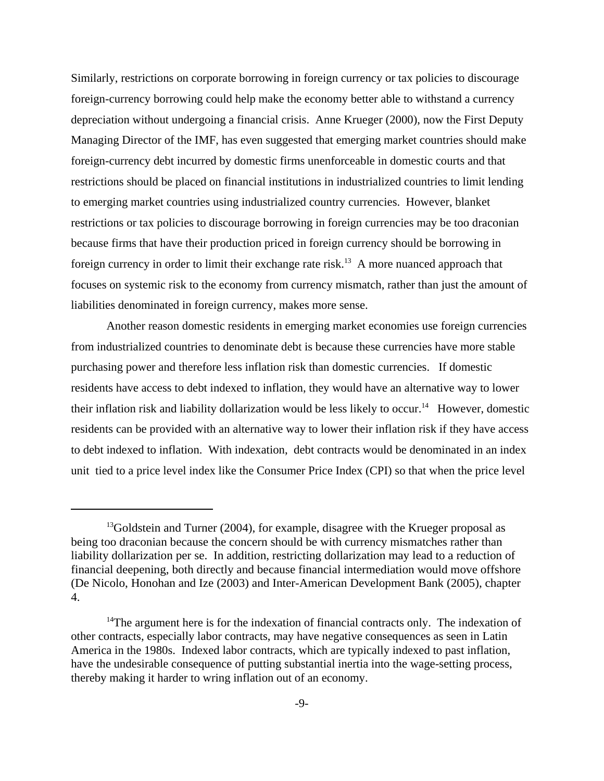Similarly, restrictions on corporate borrowing in foreign currency or tax policies to discourage foreign-currency borrowing could help make the economy better able to withstand a currency depreciation without undergoing a financial crisis. Anne Krueger (2000), now the First Deputy Managing Director of the IMF, has even suggested that emerging market countries should make foreign-currency debt incurred by domestic firms unenforceable in domestic courts and that restrictions should be placed on financial institutions in industrialized countries to limit lending to emerging market countries using industrialized country currencies. However, blanket restrictions or tax policies to discourage borrowing in foreign currencies may be too draconian because firms that have their production priced in foreign currency should be borrowing in foreign currency in order to limit their exchange rate risk.<sup>13</sup> A more nuanced approach that focuses on systemic risk to the economy from currency mismatch, rather than just the amount of liabilities denominated in foreign currency, makes more sense.

Another reason domestic residents in emerging market economies use foreign currencies from industrialized countries to denominate debt is because these currencies have more stable purchasing power and therefore less inflation risk than domestic currencies. If domestic residents have access to debt indexed to inflation, they would have an alternative way to lower their inflation risk and liability dollarization would be less likely to occur.<sup>14</sup> However, domestic residents can be provided with an alternative way to lower their inflation risk if they have access to debt indexed to inflation. With indexation, debt contracts would be denominated in an index unit tied to a price level index like the Consumer Price Index (CPI) so that when the price level

 $13$ Goldstein and Turner (2004), for example, disagree with the Krueger proposal as being too draconian because the concern should be with currency mismatches rather than liability dollarization per se. In addition, restricting dollarization may lead to a reduction of financial deepening, both directly and because financial intermediation would move offshore (De Nicolo, Honohan and Ize (2003) and Inter-American Development Bank (2005), chapter 4.

 $14$ The argument here is for the indexation of financial contracts only. The indexation of other contracts, especially labor contracts, may have negative consequences as seen in Latin America in the 1980s. Indexed labor contracts, which are typically indexed to past inflation, have the undesirable consequence of putting substantial inertia into the wage-setting process, thereby making it harder to wring inflation out of an economy.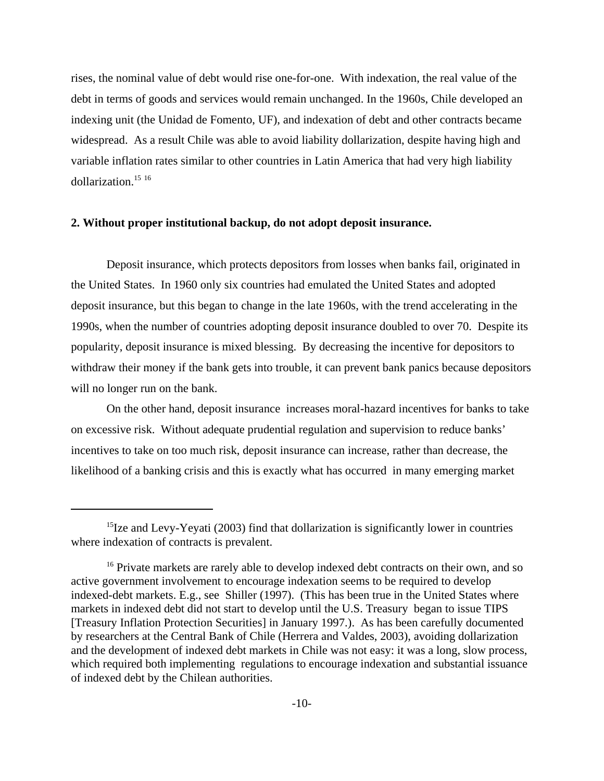rises, the nominal value of debt would rise one-for-one. With indexation, the real value of the debt in terms of goods and services would remain unchanged. In the 1960s, Chile developed an indexing unit (the Unidad de Fomento, UF), and indexation of debt and other contracts became widespread. As a result Chile was able to avoid liability dollarization, despite having high and variable inflation rates similar to other countries in Latin America that had very high liability dollarization.<sup>15 16</sup>

#### **2. Without proper institutional backup, do not adopt deposit insurance.**

Deposit insurance, which protects depositors from losses when banks fail, originated in the United States. In 1960 only six countries had emulated the United States and adopted deposit insurance, but this began to change in the late 1960s, with the trend accelerating in the 1990s, when the number of countries adopting deposit insurance doubled to over 70. Despite its popularity, deposit insurance is mixed blessing. By decreasing the incentive for depositors to withdraw their money if the bank gets into trouble, it can prevent bank panics because depositors will no longer run on the bank.

On the other hand, deposit insurance increases moral-hazard incentives for banks to take on excessive risk. Without adequate prudential regulation and supervision to reduce banks' incentives to take on too much risk, deposit insurance can increase, rather than decrease, the likelihood of a banking crisis and this is exactly what has occurred in many emerging market

 $15$ Ize and Levy-Yeyati (2003) find that dollarization is significantly lower in countries where indexation of contracts is prevalent.

<sup>&</sup>lt;sup>16</sup> Private markets are rarely able to develop indexed debt contracts on their own, and so active government involvement to encourage indexation seems to be required to develop indexed-debt markets. E.g., see Shiller (1997). (This has been true in the United States where markets in indexed debt did not start to develop until the U.S. Treasury began to issue TIPS [Treasury Inflation Protection Securities] in January 1997.). As has been carefully documented by researchers at the Central Bank of Chile (Herrera and Valdes, 2003), avoiding dollarization and the development of indexed debt markets in Chile was not easy: it was a long, slow process, which required both implementing regulations to encourage indexation and substantial issuance of indexed debt by the Chilean authorities.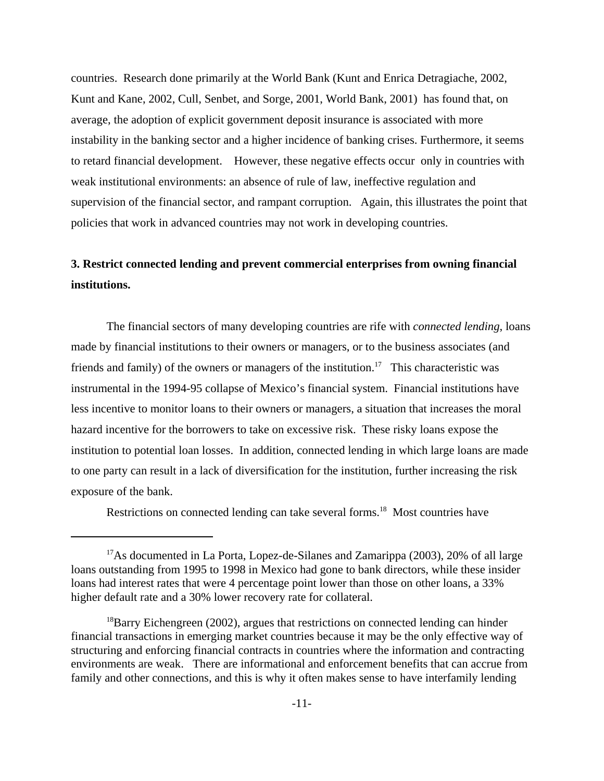countries. Research done primarily at the World Bank (Kunt and Enrica Detragiache, 2002, Kunt and Kane, 2002, Cull, Senbet, and Sorge, 2001, World Bank, 2001) has found that, on average, the adoption of explicit government deposit insurance is associated with more instability in the banking sector and a higher incidence of banking crises. Furthermore, it seems to retard financial development. However, these negative effects occur only in countries with weak institutional environments: an absence of rule of law, ineffective regulation and supervision of the financial sector, and rampant corruption. Again, this illustrates the point that policies that work in advanced countries may not work in developing countries.

# **3. Restrict connected lending and prevent commercial enterprises from owning financial institutions.**

The financial sectors of many developing countries are rife with *connected lending*, loans made by financial institutions to their owners or managers, or to the business associates (and friends and family) of the owners or managers of the institution.<sup>17</sup> This characteristic was instrumental in the 1994-95 collapse of Mexico's financial system. Financial institutions have less incentive to monitor loans to their owners or managers, a situation that increases the moral hazard incentive for the borrowers to take on excessive risk. These risky loans expose the institution to potential loan losses. In addition, connected lending in which large loans are made to one party can result in a lack of diversification for the institution, further increasing the risk exposure of the bank.

Restrictions on connected lending can take several forms.<sup>18</sup> Most countries have

 $17$ As documented in La Porta, Lopez-de-Silanes and Zamarippa (2003), 20% of all large loans outstanding from 1995 to 1998 in Mexico had gone to bank directors, while these insider loans had interest rates that were 4 percentage point lower than those on other loans, a 33% higher default rate and a 30% lower recovery rate for collateral.

<sup>&</sup>lt;sup>18</sup>Barry Eichengreen (2002), argues that restrictions on connected lending can hinder financial transactions in emerging market countries because it may be the only effective way of structuring and enforcing financial contracts in countries where the information and contracting environments are weak. There are informational and enforcement benefits that can accrue from family and other connections, and this is why it often makes sense to have interfamily lending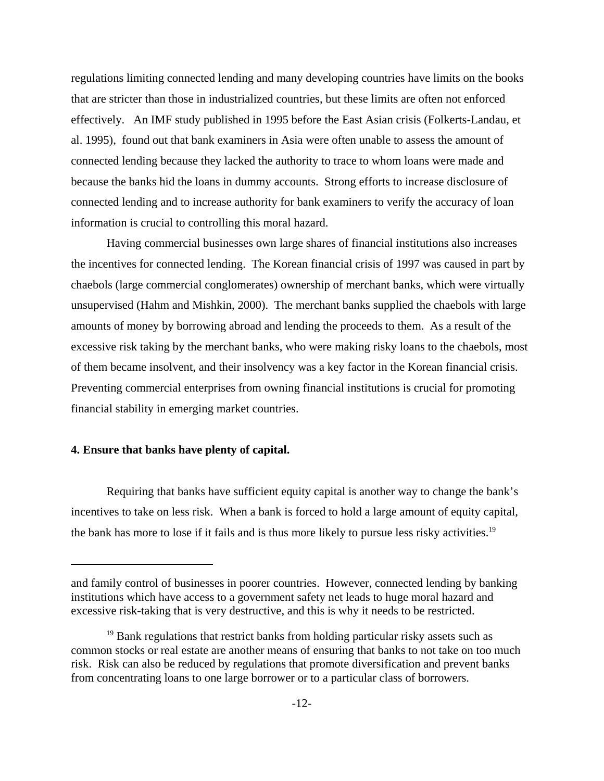regulations limiting connected lending and many developing countries have limits on the books that are stricter than those in industrialized countries, but these limits are often not enforced effectively. An IMF study published in 1995 before the East Asian crisis (Folkerts-Landau, et al. 1995), found out that bank examiners in Asia were often unable to assess the amount of connected lending because they lacked the authority to trace to whom loans were made and because the banks hid the loans in dummy accounts. Strong efforts to increase disclosure of connected lending and to increase authority for bank examiners to verify the accuracy of loan information is crucial to controlling this moral hazard.

Having commercial businesses own large shares of financial institutions also increases the incentives for connected lending. The Korean financial crisis of 1997 was caused in part by chaebols (large commercial conglomerates) ownership of merchant banks, which were virtually unsupervised (Hahm and Mishkin, 2000). The merchant banks supplied the chaebols with large amounts of money by borrowing abroad and lending the proceeds to them. As a result of the excessive risk taking by the merchant banks, who were making risky loans to the chaebols, most of them became insolvent, and their insolvency was a key factor in the Korean financial crisis. Preventing commercial enterprises from owning financial institutions is crucial for promoting financial stability in emerging market countries.

# **4. Ensure that banks have plenty of capital.**

Requiring that banks have sufficient equity capital is another way to change the bank's incentives to take on less risk. When a bank is forced to hold a large amount of equity capital, the bank has more to lose if it fails and is thus more likely to pursue less risky activities.<sup>19</sup>

and family control of businesses in poorer countries. However, connected lending by banking institutions which have access to a government safety net leads to huge moral hazard and excessive risk-taking that is very destructive, and this is why it needs to be restricted.

<sup>&</sup>lt;sup>19</sup> Bank regulations that restrict banks from holding particular risky assets such as common stocks or real estate are another means of ensuring that banks to not take on too much risk. Risk can also be reduced by regulations that promote diversification and prevent banks from concentrating loans to one large borrower or to a particular class of borrowers.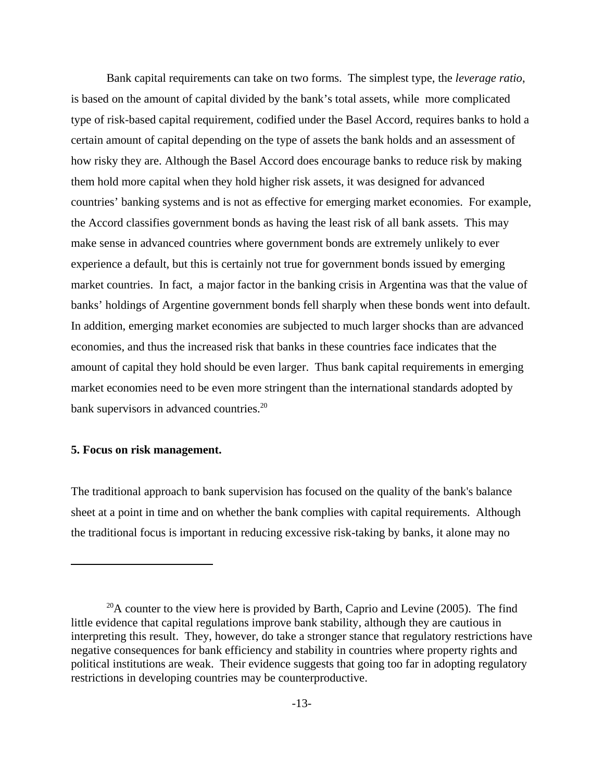Bank capital requirements can take on two forms. The simplest type, the *leverage ratio*, is based on the amount of capital divided by the bank's total assets, while more complicated type of risk-based capital requirement, codified under the Basel Accord, requires banks to hold a certain amount of capital depending on the type of assets the bank holds and an assessment of how risky they are. Although the Basel Accord does encourage banks to reduce risk by making them hold more capital when they hold higher risk assets, it was designed for advanced countries' banking systems and is not as effective for emerging market economies. For example, the Accord classifies government bonds as having the least risk of all bank assets. This may make sense in advanced countries where government bonds are extremely unlikely to ever experience a default, but this is certainly not true for government bonds issued by emerging market countries. In fact, a major factor in the banking crisis in Argentina was that the value of banks' holdings of Argentine government bonds fell sharply when these bonds went into default. In addition, emerging market economies are subjected to much larger shocks than are advanced economies, and thus the increased risk that banks in these countries face indicates that the amount of capital they hold should be even larger. Thus bank capital requirements in emerging market economies need to be even more stringent than the international standards adopted by bank supervisors in advanced countries.<sup>20</sup>

# **5. Focus on risk management.**

The traditional approach to bank supervision has focused on the quality of the bank's balance sheet at a point in time and on whether the bank complies with capital requirements. Although the traditional focus is important in reducing excessive risk-taking by banks, it alone may no

 $^{20}$ A counter to the view here is provided by Barth, Caprio and Levine (2005). The find little evidence that capital regulations improve bank stability, although they are cautious in interpreting this result. They, however, do take a stronger stance that regulatory restrictions have negative consequences for bank efficiency and stability in countries where property rights and political institutions are weak. Their evidence suggests that going too far in adopting regulatory restrictions in developing countries may be counterproductive.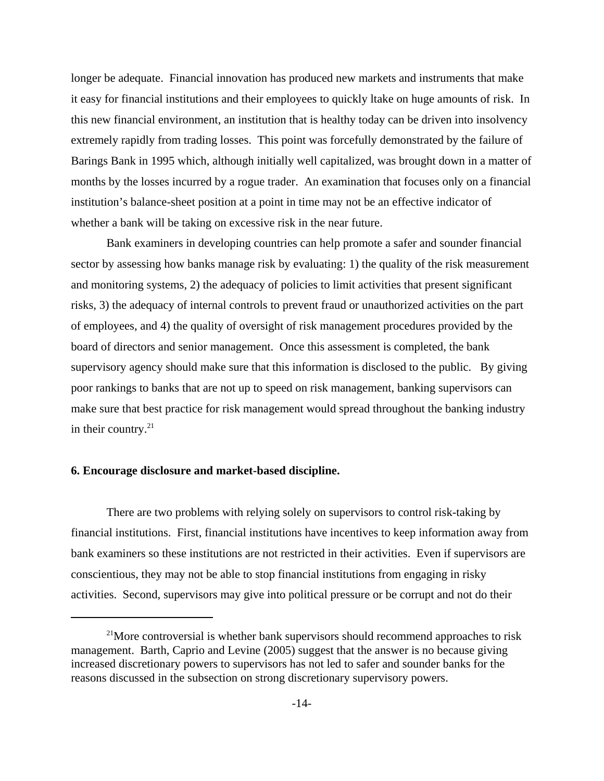longer be adequate. Financial innovation has produced new markets and instruments that make it easy for financial institutions and their employees to quickly ltake on huge amounts of risk. In this new financial environment, an institution that is healthy today can be driven into insolvency extremely rapidly from trading losses. This point was forcefully demonstrated by the failure of Barings Bank in 1995 which, although initially well capitalized, was brought down in a matter of months by the losses incurred by a rogue trader. An examination that focuses only on a financial institution's balance-sheet position at a point in time may not be an effective indicator of whether a bank will be taking on excessive risk in the near future.

Bank examiners in developing countries can help promote a safer and sounder financial sector by assessing how banks manage risk by evaluating: 1) the quality of the risk measurement and monitoring systems, 2) the adequacy of policies to limit activities that present significant risks, 3) the adequacy of internal controls to prevent fraud or unauthorized activities on the part of employees, and 4) the quality of oversight of risk management procedures provided by the board of directors and senior management. Once this assessment is completed, the bank supervisory agency should make sure that this information is disclosed to the public. By giving poor rankings to banks that are not up to speed on risk management, banking supervisors can make sure that best practice for risk management would spread throughout the banking industry in their country.<sup>21</sup>

## **6. Encourage disclosure and market-based discipline.**

There are two problems with relying solely on supervisors to control risk-taking by financial institutions. First, financial institutions have incentives to keep information away from bank examiners so these institutions are not restricted in their activities. Even if supervisors are conscientious, they may not be able to stop financial institutions from engaging in risky activities. Second, supervisors may give into political pressure or be corrupt and not do their

 $2<sup>1</sup>$ More controversial is whether bank supervisors should recommend approaches to risk management. Barth, Caprio and Levine (2005) suggest that the answer is no because giving increased discretionary powers to supervisors has not led to safer and sounder banks for the reasons discussed in the subsection on strong discretionary supervisory powers.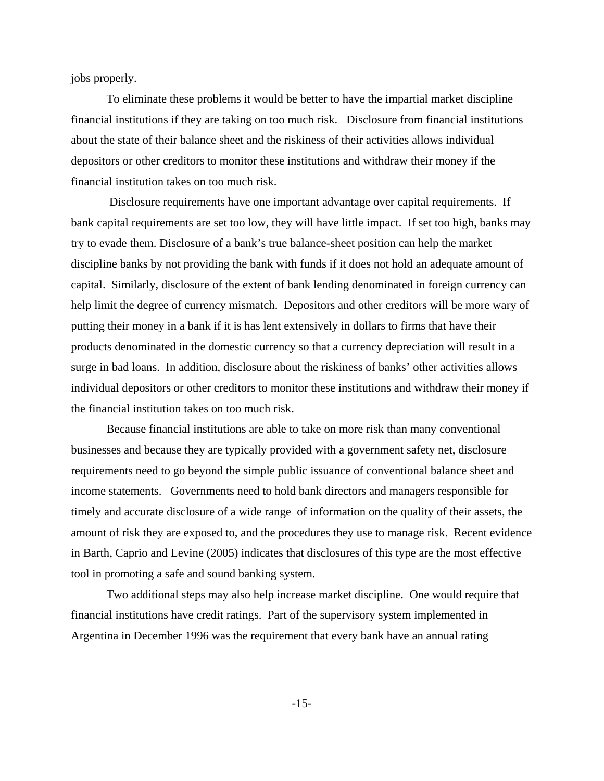jobs properly.

 To eliminate these problems it would be better to have the impartial market discipline financial institutions if they are taking on too much risk. Disclosure from financial institutions about the state of their balance sheet and the riskiness of their activities allows individual depositors or other creditors to monitor these institutions and withdraw their money if the financial institution takes on too much risk.

 Disclosure requirements have one important advantage over capital requirements. If bank capital requirements are set too low, they will have little impact. If set too high, banks may try to evade them. Disclosure of a bank's true balance-sheet position can help the market discipline banks by not providing the bank with funds if it does not hold an adequate amount of capital. Similarly, disclosure of the extent of bank lending denominated in foreign currency can help limit the degree of currency mismatch. Depositors and other creditors will be more wary of putting their money in a bank if it is has lent extensively in dollars to firms that have their products denominated in the domestic currency so that a currency depreciation will result in a surge in bad loans. In addition, disclosure about the riskiness of banks' other activities allows individual depositors or other creditors to monitor these institutions and withdraw their money if the financial institution takes on too much risk.

Because financial institutions are able to take on more risk than many conventional businesses and because they are typically provided with a government safety net, disclosure requirements need to go beyond the simple public issuance of conventional balance sheet and income statements. Governments need to hold bank directors and managers responsible for timely and accurate disclosure of a wide range of information on the quality of their assets, the amount of risk they are exposed to, and the procedures they use to manage risk. Recent evidence in Barth, Caprio and Levine (2005) indicates that disclosures of this type are the most effective tool in promoting a safe and sound banking system.

Two additional steps may also help increase market discipline. One would require that financial institutions have credit ratings. Part of the supervisory system implemented in Argentina in December 1996 was the requirement that every bank have an annual rating

-15-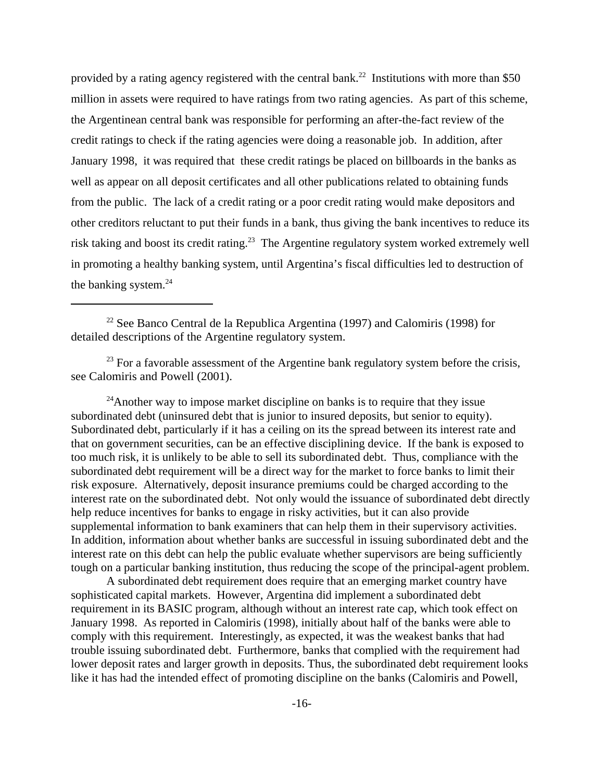provided by a rating agency registered with the central bank.<sup>22</sup> Institutions with more than \$50 million in assets were required to have ratings from two rating agencies. As part of this scheme, the Argentinean central bank was responsible for performing an after-the-fact review of the credit ratings to check if the rating agencies were doing a reasonable job. In addition, after January 1998, it was required that these credit ratings be placed on billboards in the banks as well as appear on all deposit certificates and all other publications related to obtaining funds from the public. The lack of a credit rating or a poor credit rating would make depositors and other creditors reluctant to put their funds in a bank, thus giving the bank incentives to reduce its risk taking and boost its credit rating.<sup>23</sup> The Argentine regulatory system worked extremely well in promoting a healthy banking system, until Argentina's fiscal difficulties led to destruction of the banking system.<sup>24</sup>

<sup>22</sup> See Banco Central de la Republica Argentina (1997) and Calomiris (1998) for detailed descriptions of the Argentine regulatory system.

 $24$ Another way to impose market discipline on banks is to require that they issue subordinated debt (uninsured debt that is junior to insured deposits, but senior to equity). Subordinated debt, particularly if it has a ceiling on its the spread between its interest rate and that on government securities, can be an effective disciplining device. If the bank is exposed to too much risk, it is unlikely to be able to sell its subordinated debt. Thus, compliance with the subordinated debt requirement will be a direct way for the market to force banks to limit their risk exposure. Alternatively, deposit insurance premiums could be charged according to the interest rate on the subordinated debt. Not only would the issuance of subordinated debt directly help reduce incentives for banks to engage in risky activities, but it can also provide supplemental information to bank examiners that can help them in their supervisory activities. In addition, information about whether banks are successful in issuing subordinated debt and the interest rate on this debt can help the public evaluate whether supervisors are being sufficiently tough on a particular banking institution, thus reducing the scope of the principal-agent problem.

A subordinated debt requirement does require that an emerging market country have sophisticated capital markets. However, Argentina did implement a subordinated debt requirement in its BASIC program, although without an interest rate cap, which took effect on January 1998. As reported in Calomiris (1998), initially about half of the banks were able to comply with this requirement. Interestingly, as expected, it was the weakest banks that had trouble issuing subordinated debt. Furthermore, banks that complied with the requirement had lower deposit rates and larger growth in deposits. Thus, the subordinated debt requirement looks like it has had the intended effect of promoting discipline on the banks (Calomiris and Powell,

 $23$  For a favorable assessment of the Argentine bank regulatory system before the crisis, see Calomiris and Powell (2001).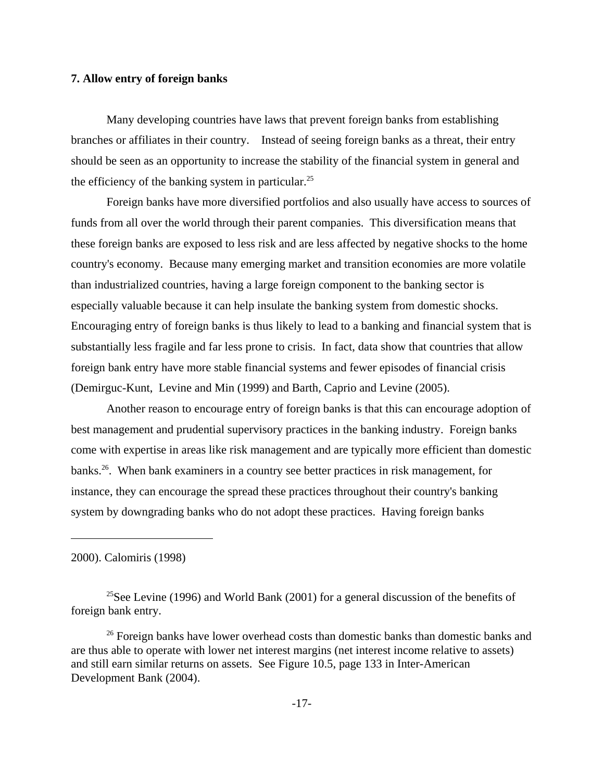## **7. Allow entry of foreign banks**

Many developing countries have laws that prevent foreign banks from establishing branches or affiliates in their country. Instead of seeing foreign banks as a threat, their entry should be seen as an opportunity to increase the stability of the financial system in general and the efficiency of the banking system in particular.<sup>25</sup>

Foreign banks have more diversified portfolios and also usually have access to sources of funds from all over the world through their parent companies. This diversification means that these foreign banks are exposed to less risk and are less affected by negative shocks to the home country's economy. Because many emerging market and transition economies are more volatile than industrialized countries, having a large foreign component to the banking sector is especially valuable because it can help insulate the banking system from domestic shocks. Encouraging entry of foreign banks is thus likely to lead to a banking and financial system that is substantially less fragile and far less prone to crisis. In fact, data show that countries that allow foreign bank entry have more stable financial systems and fewer episodes of financial crisis (Demirguc-Kunt, Levine and Min (1999) and Barth, Caprio and Levine (2005).

Another reason to encourage entry of foreign banks is that this can encourage adoption of best management and prudential supervisory practices in the banking industry. Foreign banks come with expertise in areas like risk management and are typically more efficient than domestic banks.26. When bank examiners in a country see better practices in risk management, for instance, they can encourage the spread these practices throughout their country's banking system by downgrading banks who do not adopt these practices. Having foreign banks

2000). Calomiris (1998)

<sup>&</sup>lt;sup>25</sup>See Levine (1996) and World Bank (2001) for a general discussion of the benefits of foreign bank entry.

<sup>&</sup>lt;sup>26</sup> Foreign banks have lower overhead costs than domestic banks than domestic banks and are thus able to operate with lower net interest margins (net interest income relative to assets) and still earn similar returns on assets. See Figure 10.5, page 133 in Inter-American Development Bank (2004).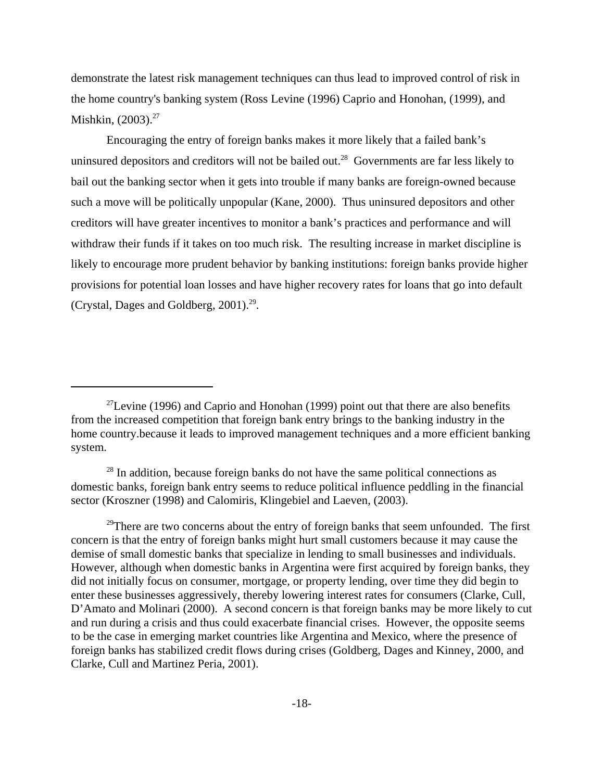demonstrate the latest risk management techniques can thus lead to improved control of risk in the home country's banking system (Ross Levine (1996) Caprio and Honohan, (1999), and Mishkin, (2003).<sup>27</sup>

Encouraging the entry of foreign banks makes it more likely that a failed bank's uninsured depositors and creditors will not be bailed out.<sup>28</sup> Governments are far less likely to bail out the banking sector when it gets into trouble if many banks are foreign-owned because such a move will be politically unpopular (Kane, 2000). Thus uninsured depositors and other creditors will have greater incentives to monitor a bank's practices and performance and will withdraw their funds if it takes on too much risk. The resulting increase in market discipline is likely to encourage more prudent behavior by banking institutions: foreign banks provide higher provisions for potential loan losses and have higher recovery rates for loans that go into default (Crystal, Dages and Goldberg, 2001).29.

 $27$ Levine (1996) and Caprio and Honohan (1999) point out that there are also benefits from the increased competition that foreign bank entry brings to the banking industry in the home country.because it leads to improved management techniques and a more efficient banking system.

 $28$  In addition, because foreign banks do not have the same political connections as domestic banks, foreign bank entry seems to reduce political influence peddling in the financial sector (Kroszner (1998) and Calomiris, Klingebiel and Laeven, (2003).

 $29$ There are two concerns about the entry of foreign banks that seem unfounded. The first concern is that the entry of foreign banks might hurt small customers because it may cause the demise of small domestic banks that specialize in lending to small businesses and individuals. However, although when domestic banks in Argentina were first acquired by foreign banks, they did not initially focus on consumer, mortgage, or property lending, over time they did begin to enter these businesses aggressively, thereby lowering interest rates for consumers (Clarke, Cull, D'Amato and Molinari (2000). A second concern is that foreign banks may be more likely to cut and run during a crisis and thus could exacerbate financial crises. However, the opposite seems to be the case in emerging market countries like Argentina and Mexico, where the presence of foreign banks has stabilized credit flows during crises (Goldberg, Dages and Kinney, 2000, and Clarke, Cull and Martinez Peria, 2001).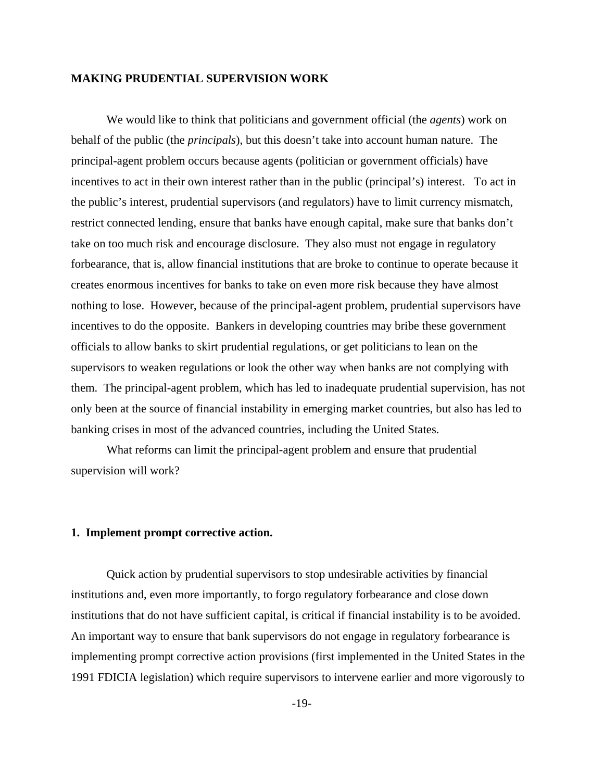#### **MAKING PRUDENTIAL SUPERVISION WORK**

We would like to think that politicians and government official (the *agents*) work on behalf of the public (the *principals*), but this doesn't take into account human nature. The principal-agent problem occurs because agents (politician or government officials) have incentives to act in their own interest rather than in the public (principal's) interest. To act in the public's interest, prudential supervisors (and regulators) have to limit currency mismatch, restrict connected lending, ensure that banks have enough capital, make sure that banks don't take on too much risk and encourage disclosure. They also must not engage in regulatory forbearance, that is, allow financial institutions that are broke to continue to operate because it creates enormous incentives for banks to take on even more risk because they have almost nothing to lose. However, because of the principal-agent problem, prudential supervisors have incentives to do the opposite. Bankers in developing countries may bribe these government officials to allow banks to skirt prudential regulations, or get politicians to lean on the supervisors to weaken regulations or look the other way when banks are not complying with them. The principal-agent problem, which has led to inadequate prudential supervision, has not only been at the source of financial instability in emerging market countries, but also has led to banking crises in most of the advanced countries, including the United States.

What reforms can limit the principal-agent problem and ensure that prudential supervision will work?

# **1. Implement prompt corrective action.**

Quick action by prudential supervisors to stop undesirable activities by financial institutions and, even more importantly, to forgo regulatory forbearance and close down institutions that do not have sufficient capital, is critical if financial instability is to be avoided. An important way to ensure that bank supervisors do not engage in regulatory forbearance is implementing prompt corrective action provisions (first implemented in the United States in the 1991 FDICIA legislation) which require supervisors to intervene earlier and more vigorously to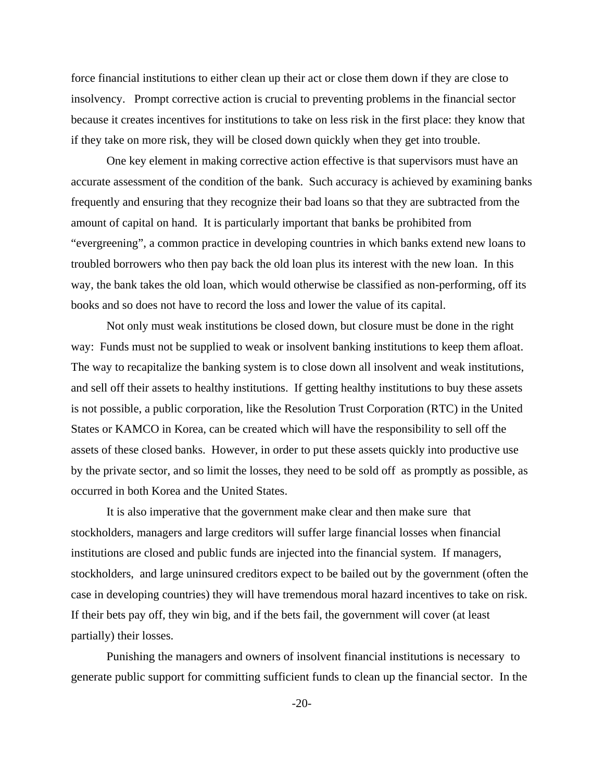force financial institutions to either clean up their act or close them down if they are close to insolvency. Prompt corrective action is crucial to preventing problems in the financial sector because it creates incentives for institutions to take on less risk in the first place: they know that if they take on more risk, they will be closed down quickly when they get into trouble.

One key element in making corrective action effective is that supervisors must have an accurate assessment of the condition of the bank. Such accuracy is achieved by examining banks frequently and ensuring that they recognize their bad loans so that they are subtracted from the amount of capital on hand. It is particularly important that banks be prohibited from "evergreening", a common practice in developing countries in which banks extend new loans to troubled borrowers who then pay back the old loan plus its interest with the new loan. In this way, the bank takes the old loan, which would otherwise be classified as non-performing, off its books and so does not have to record the loss and lower the value of its capital.

 Not only must weak institutions be closed down, but closure must be done in the right way: Funds must not be supplied to weak or insolvent banking institutions to keep them afloat. The way to recapitalize the banking system is to close down all insolvent and weak institutions, and sell off their assets to healthy institutions. If getting healthy institutions to buy these assets is not possible, a public corporation, like the Resolution Trust Corporation (RTC) in the United States or KAMCO in Korea, can be created which will have the responsibility to sell off the assets of these closed banks. However, in order to put these assets quickly into productive use by the private sector, and so limit the losses, they need to be sold off as promptly as possible, as occurred in both Korea and the United States.

It is also imperative that the government make clear and then make sure that stockholders, managers and large creditors will suffer large financial losses when financial institutions are closed and public funds are injected into the financial system. If managers, stockholders, and large uninsured creditors expect to be bailed out by the government (often the case in developing countries) they will have tremendous moral hazard incentives to take on risk. If their bets pay off, they win big, and if the bets fail, the government will cover (at least partially) their losses.

Punishing the managers and owners of insolvent financial institutions is necessary to generate public support for committing sufficient funds to clean up the financial sector. In the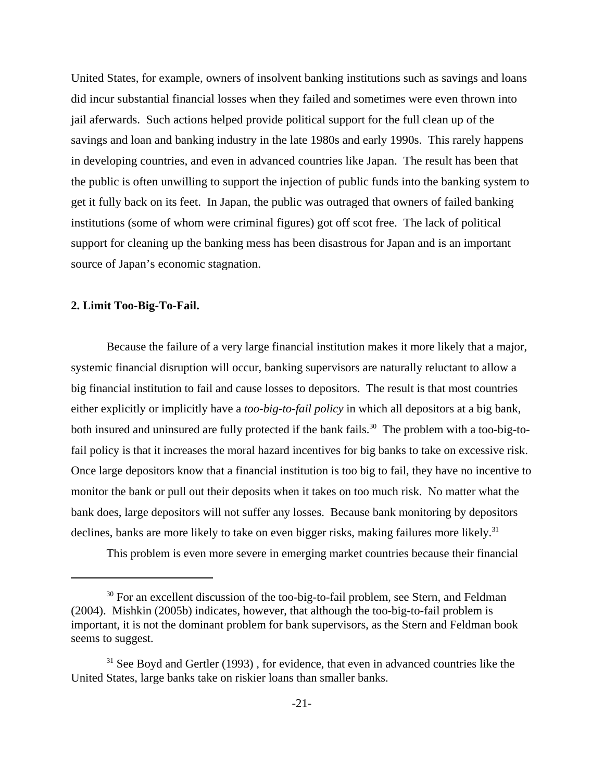United States, for example, owners of insolvent banking institutions such as savings and loans did incur substantial financial losses when they failed and sometimes were even thrown into jail aferwards. Such actions helped provide political support for the full clean up of the savings and loan and banking industry in the late 1980s and early 1990s. This rarely happens in developing countries, and even in advanced countries like Japan. The result has been that the public is often unwilling to support the injection of public funds into the banking system to get it fully back on its feet. In Japan, the public was outraged that owners of failed banking institutions (some of whom were criminal figures) got off scot free. The lack of political support for cleaning up the banking mess has been disastrous for Japan and is an important source of Japan's economic stagnation.

#### **2. Limit Too-Big-To-Fail.**

Because the failure of a very large financial institution makes it more likely that a major, systemic financial disruption will occur, banking supervisors are naturally reluctant to allow a big financial institution to fail and cause losses to depositors. The result is that most countries either explicitly or implicitly have a *too-big-to-fail policy* in which all depositors at a big bank, both insured and uninsured are fully protected if the bank fails.<sup>30</sup> The problem with a too-big-tofail policy is that it increases the moral hazard incentives for big banks to take on excessive risk. Once large depositors know that a financial institution is too big to fail, they have no incentive to monitor the bank or pull out their deposits when it takes on too much risk. No matter what the bank does, large depositors will not suffer any losses. Because bank monitoring by depositors declines, banks are more likely to take on even bigger risks, making failures more likely.<sup>31</sup>

This problem is even more severe in emerging market countries because their financial

<sup>&</sup>lt;sup>30</sup> For an excellent discussion of the too-big-to-fail problem, see Stern, and Feldman (2004). Mishkin (2005b) indicates, however, that although the too-big-to-fail problem is important, it is not the dominant problem for bank supervisors, as the Stern and Feldman book seems to suggest.

 $31$  See Boyd and Gertler (1993), for evidence, that even in advanced countries like the United States, large banks take on riskier loans than smaller banks.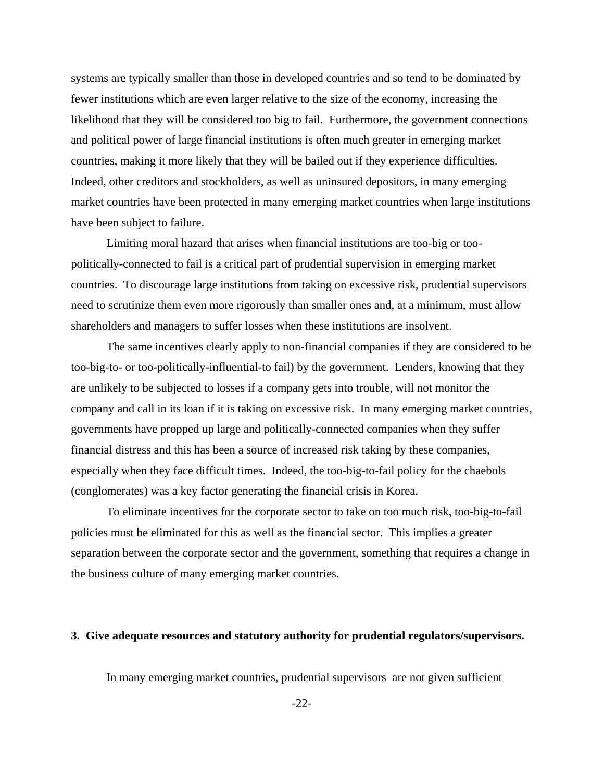systems are typically smaller than those in developed countries and so tend to be dominated by fewer institutions which are even larger relative to the size of the economy, increasing the likelihood that they will be considered too big to fail. Furthermore, the government connections and political power of large financial institutions is often much greater in emerging market countries, making it more likely that they will be bailed out if they experience difficulties. Indeed, other creditors and stockholders, as well as uninsured depositors, in many emerging market countries have been protected in many emerging market countries when large institutions have been subject to failure.

Limiting moral hazard that arises when financial institutions are too-big or toopolitically-connected to fail is a critical part of prudential supervision in emerging market countries. To discourage large institutions from taking on excessive risk, prudential supervisors need to scrutinize them even more rigorously than smaller ones and, at a minimum, must allow shareholders and managers to suffer losses when these institutions are insolvent.

The same incentives clearly apply to non-financial companies if they are considered to be too-big-to- or too-politically-influential-to fail) by the government. Lenders, knowing that they are unlikely to be subjected to losses if a company gets into trouble, will not monitor the company and call in its loan if it is taking on excessive risk. In many emerging market countries, governments have propped up large and politically-connected companies when they suffer financial distress and this has been a source of increased risk taking by these companies, especially when they face difficult times. Indeed, the too-big-to-fail policy for the chaebols (conglomerates) was a key factor generating the financial crisis in Korea.

To eliminate incentives for the corporate sector to take on too much risk, too-big-to-fail policies must be eliminated for this as well as the financial sector. This implies a greater separation between the corporate sector and the government, something that requires a change in the business culture of many emerging market countries.

# **3. Give adequate resources and statutory authority for prudential regulators/supervisors.**

In many emerging market countries, prudential supervisors are not given sufficient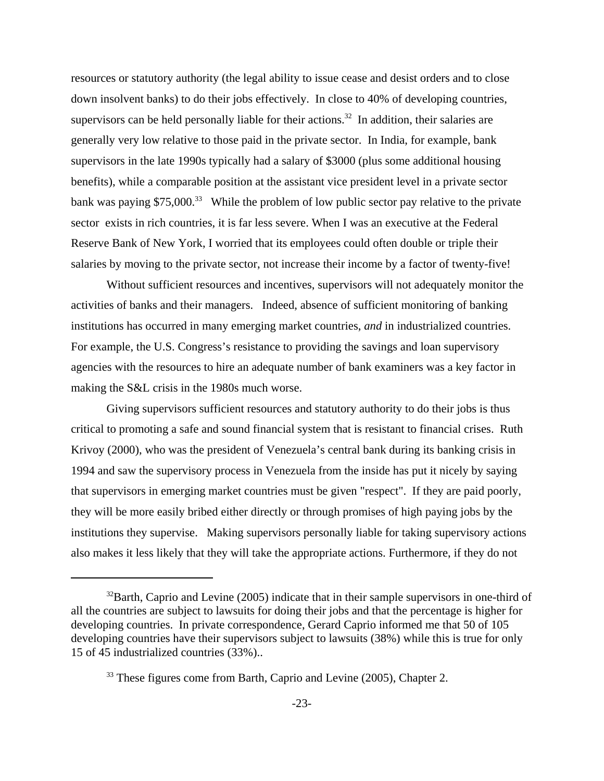resources or statutory authority (the legal ability to issue cease and desist orders and to close down insolvent banks) to do their jobs effectively. In close to 40% of developing countries, supervisors can be held personally liable for their actions.<sup>32</sup> In addition, their salaries are generally very low relative to those paid in the private sector. In India, for example, bank supervisors in the late 1990s typically had a salary of \$3000 (plus some additional housing benefits), while a comparable position at the assistant vice president level in a private sector bank was paying \$75,000.<sup>33</sup> While the problem of low public sector pay relative to the private sector exists in rich countries, it is far less severe. When I was an executive at the Federal Reserve Bank of New York, I worried that its employees could often double or triple their salaries by moving to the private sector, not increase their income by a factor of twenty-five!

 Without sufficient resources and incentives, supervisors will not adequately monitor the activities of banks and their managers. Indeed, absence of sufficient monitoring of banking institutions has occurred in many emerging market countries, *and* in industrialized countries. For example, the U.S. Congress's resistance to providing the savings and loan supervisory agencies with the resources to hire an adequate number of bank examiners was a key factor in making the S&L crisis in the 1980s much worse.

Giving supervisors sufficient resources and statutory authority to do their jobs is thus critical to promoting a safe and sound financial system that is resistant to financial crises. Ruth Krivoy (2000), who was the president of Venezuela's central bank during its banking crisis in 1994 and saw the supervisory process in Venezuela from the inside has put it nicely by saying that supervisors in emerging market countries must be given "respect". If they are paid poorly, they will be more easily bribed either directly or through promises of high paying jobs by the institutions they supervise. Making supervisors personally liable for taking supervisory actions also makes it less likely that they will take the appropriate actions. Furthermore, if they do not

 $32$ Barth, Caprio and Levine (2005) indicate that in their sample supervisors in one-third of all the countries are subject to lawsuits for doing their jobs and that the percentage is higher for developing countries. In private correspondence, Gerard Caprio informed me that 50 of 105 developing countries have their supervisors subject to lawsuits (38%) while this is true for only 15 of 45 industrialized countries (33%)..

<sup>&</sup>lt;sup>33</sup> These figures come from Barth, Caprio and Levine (2005), Chapter 2.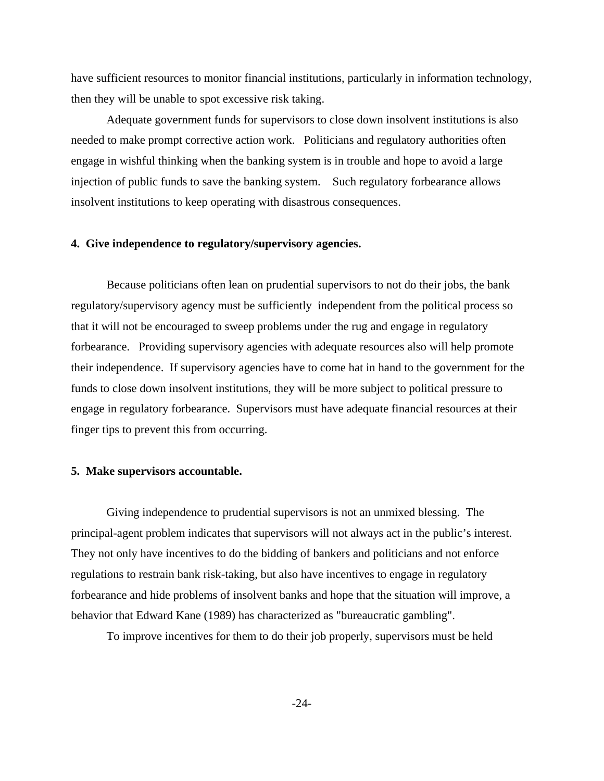have sufficient resources to monitor financial institutions, particularly in information technology, then they will be unable to spot excessive risk taking.

Adequate government funds for supervisors to close down insolvent institutions is also needed to make prompt corrective action work. Politicians and regulatory authorities often engage in wishful thinking when the banking system is in trouble and hope to avoid a large injection of public funds to save the banking system. Such regulatory forbearance allows insolvent institutions to keep operating with disastrous consequences.

# **4. Give independence to regulatory/supervisory agencies.**

Because politicians often lean on prudential supervisors to not do their jobs, the bank regulatory/supervisory agency must be sufficiently independent from the political process so that it will not be encouraged to sweep problems under the rug and engage in regulatory forbearance. Providing supervisory agencies with adequate resources also will help promote their independence. If supervisory agencies have to come hat in hand to the government for the funds to close down insolvent institutions, they will be more subject to political pressure to engage in regulatory forbearance. Supervisors must have adequate financial resources at their finger tips to prevent this from occurring.

## **5. Make supervisors accountable.**

Giving independence to prudential supervisors is not an unmixed blessing. The principal-agent problem indicates that supervisors will not always act in the public's interest. They not only have incentives to do the bidding of bankers and politicians and not enforce regulations to restrain bank risk-taking, but also have incentives to engage in regulatory forbearance and hide problems of insolvent banks and hope that the situation will improve, a behavior that Edward Kane (1989) has characterized as "bureaucratic gambling".

To improve incentives for them to do their job properly, supervisors must be held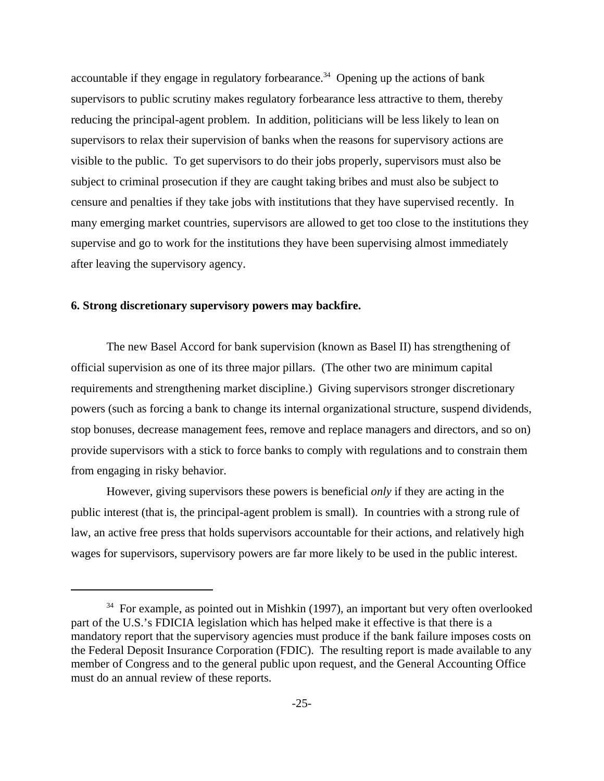accountable if they engage in regulatory forbearance.<sup>34</sup> Opening up the actions of bank supervisors to public scrutiny makes regulatory forbearance less attractive to them, thereby reducing the principal-agent problem. In addition, politicians will be less likely to lean on supervisors to relax their supervision of banks when the reasons for supervisory actions are visible to the public. To get supervisors to do their jobs properly, supervisors must also be subject to criminal prosecution if they are caught taking bribes and must also be subject to censure and penalties if they take jobs with institutions that they have supervised recently. In many emerging market countries, supervisors are allowed to get too close to the institutions they supervise and go to work for the institutions they have been supervising almost immediately after leaving the supervisory agency.

# **6. Strong discretionary supervisory powers may backfire.**

The new Basel Accord for bank supervision (known as Basel II) has strengthening of official supervision as one of its three major pillars. (The other two are minimum capital requirements and strengthening market discipline.) Giving supervisors stronger discretionary powers (such as forcing a bank to change its internal organizational structure, suspend dividends, stop bonuses, decrease management fees, remove and replace managers and directors, and so on) provide supervisors with a stick to force banks to comply with regulations and to constrain them from engaging in risky behavior.

However, giving supervisors these powers is beneficial *only* if they are acting in the public interest (that is, the principal-agent problem is small). In countries with a strong rule of law, an active free press that holds supervisors accountable for their actions, and relatively high wages for supervisors, supervisory powers are far more likely to be used in the public interest.

 $34$  For example, as pointed out in Mishkin (1997), an important but very often overlooked part of the U.S.'s FDICIA legislation which has helped make it effective is that there is a mandatory report that the supervisory agencies must produce if the bank failure imposes costs on the Federal Deposit Insurance Corporation (FDIC). The resulting report is made available to any member of Congress and to the general public upon request, and the General Accounting Office must do an annual review of these reports.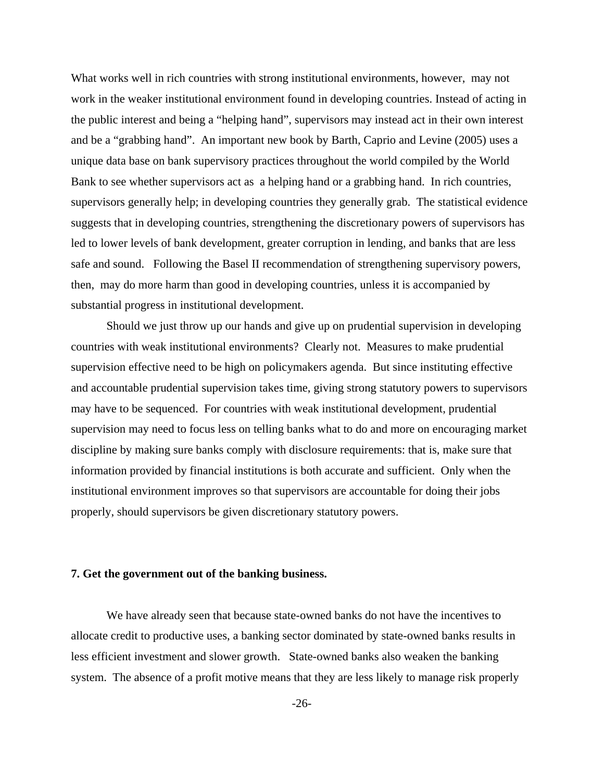What works well in rich countries with strong institutional environments, however, may not work in the weaker institutional environment found in developing countries. Instead of acting in the public interest and being a "helping hand", supervisors may instead act in their own interest and be a "grabbing hand". An important new book by Barth, Caprio and Levine (2005) uses a unique data base on bank supervisory practices throughout the world compiled by the World Bank to see whether supervisors act as a helping hand or a grabbing hand. In rich countries, supervisors generally help; in developing countries they generally grab. The statistical evidence suggests that in developing countries, strengthening the discretionary powers of supervisors has led to lower levels of bank development, greater corruption in lending, and banks that are less safe and sound. Following the Basel II recommendation of strengthening supervisory powers, then, may do more harm than good in developing countries, unless it is accompanied by substantial progress in institutional development.

Should we just throw up our hands and give up on prudential supervision in developing countries with weak institutional environments? Clearly not. Measures to make prudential supervision effective need to be high on policymakers agenda. But since instituting effective and accountable prudential supervision takes time, giving strong statutory powers to supervisors may have to be sequenced. For countries with weak institutional development, prudential supervision may need to focus less on telling banks what to do and more on encouraging market discipline by making sure banks comply with disclosure requirements: that is, make sure that information provided by financial institutions is both accurate and sufficient. Only when the institutional environment improves so that supervisors are accountable for doing their jobs properly, should supervisors be given discretionary statutory powers.

#### **7. Get the government out of the banking business.**

We have already seen that because state-owned banks do not have the incentives to allocate credit to productive uses, a banking sector dominated by state-owned banks results in less efficient investment and slower growth. State-owned banks also weaken the banking system. The absence of a profit motive means that they are less likely to manage risk properly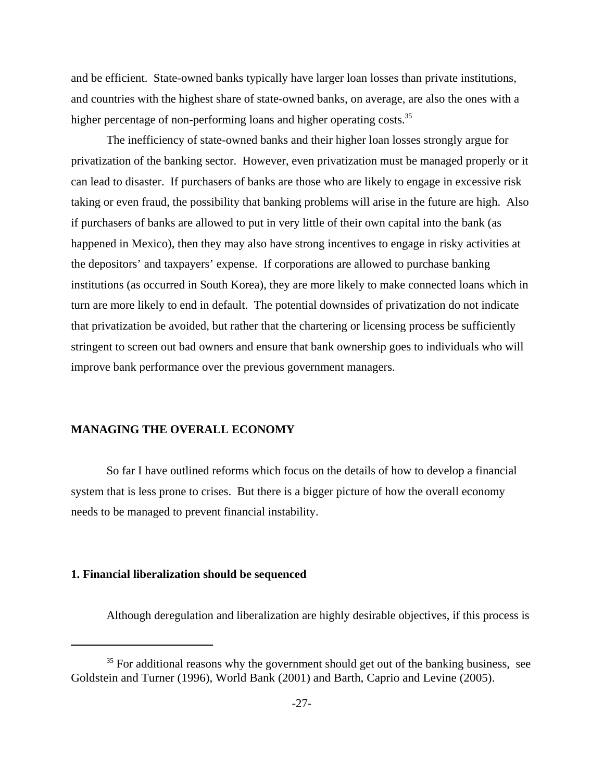and be efficient. State-owned banks typically have larger loan losses than private institutions, and countries with the highest share of state-owned banks, on average, are also the ones with a higher percentage of non-performing loans and higher operating costs.<sup>35</sup>

The inefficiency of state-owned banks and their higher loan losses strongly argue for privatization of the banking sector. However, even privatization must be managed properly or it can lead to disaster. If purchasers of banks are those who are likely to engage in excessive risk taking or even fraud, the possibility that banking problems will arise in the future are high. Also if purchasers of banks are allowed to put in very little of their own capital into the bank (as happened in Mexico), then they may also have strong incentives to engage in risky activities at the depositors' and taxpayers' expense. If corporations are allowed to purchase banking institutions (as occurred in South Korea), they are more likely to make connected loans which in turn are more likely to end in default. The potential downsides of privatization do not indicate that privatization be avoided, but rather that the chartering or licensing process be sufficiently stringent to screen out bad owners and ensure that bank ownership goes to individuals who will improve bank performance over the previous government managers.

#### **MANAGING THE OVERALL ECONOMY**

So far I have outlined reforms which focus on the details of how to develop a financial system that is less prone to crises. But there is a bigger picture of how the overall economy needs to be managed to prevent financial instability.

#### **1. Financial liberalization should be sequenced**

Although deregulation and liberalization are highly desirable objectives, if this process is

 $35$  For additional reasons why the government should get out of the banking business, see Goldstein and Turner (1996), World Bank (2001) and Barth, Caprio and Levine (2005).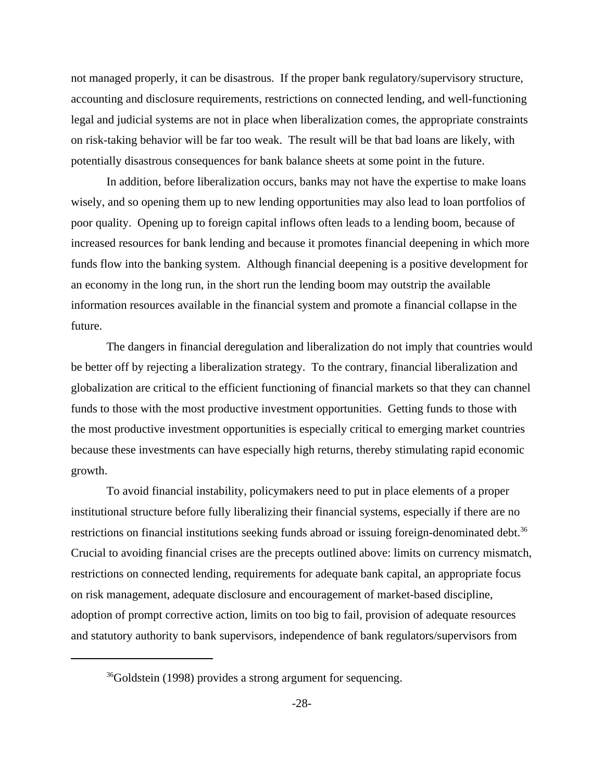not managed properly, it can be disastrous. If the proper bank regulatory/supervisory structure, accounting and disclosure requirements, restrictions on connected lending, and well-functioning legal and judicial systems are not in place when liberalization comes, the appropriate constraints on risk-taking behavior will be far too weak. The result will be that bad loans are likely, with potentially disastrous consequences for bank balance sheets at some point in the future.

In addition, before liberalization occurs, banks may not have the expertise to make loans wisely, and so opening them up to new lending opportunities may also lead to loan portfolios of poor quality. Opening up to foreign capital inflows often leads to a lending boom, because of increased resources for bank lending and because it promotes financial deepening in which more funds flow into the banking system. Although financial deepening is a positive development for an economy in the long run, in the short run the lending boom may outstrip the available information resources available in the financial system and promote a financial collapse in the future.

The dangers in financial deregulation and liberalization do not imply that countries would be better off by rejecting a liberalization strategy. To the contrary, financial liberalization and globalization are critical to the efficient functioning of financial markets so that they can channel funds to those with the most productive investment opportunities. Getting funds to those with the most productive investment opportunities is especially critical to emerging market countries because these investments can have especially high returns, thereby stimulating rapid economic growth.

To avoid financial instability, policymakers need to put in place elements of a proper institutional structure before fully liberalizing their financial systems, especially if there are no restrictions on financial institutions seeking funds abroad or issuing foreign-denominated debt.<sup>36</sup> Crucial to avoiding financial crises are the precepts outlined above: limits on currency mismatch, restrictions on connected lending, requirements for adequate bank capital, an appropriate focus on risk management, adequate disclosure and encouragement of market-based discipline, adoption of prompt corrective action, limits on too big to fail, provision of adequate resources and statutory authority to bank supervisors, independence of bank regulators/supervisors from

<sup>&</sup>lt;sup>36</sup>Goldstein (1998) provides a strong argument for sequencing.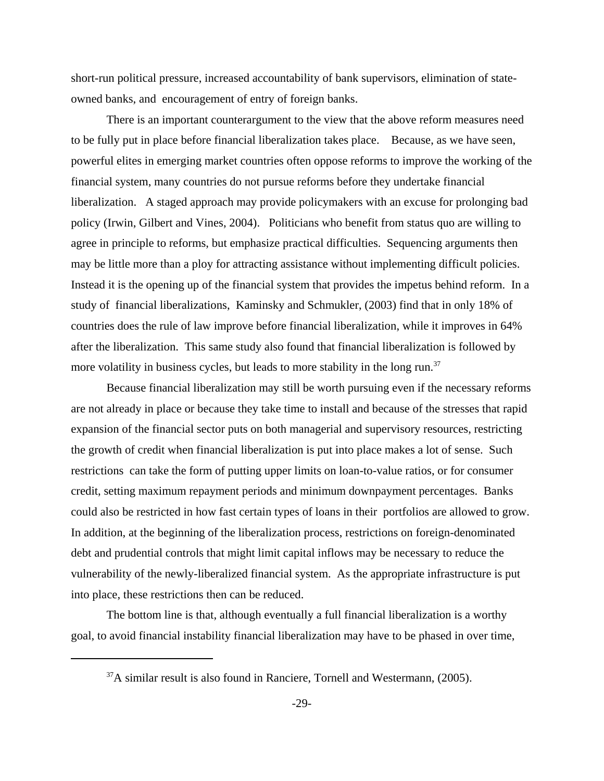short-run political pressure, increased accountability of bank supervisors, elimination of stateowned banks, and encouragement of entry of foreign banks.

There is an important counterargument to the view that the above reform measures need to be fully put in place before financial liberalization takes place. Because, as we have seen, powerful elites in emerging market countries often oppose reforms to improve the working of the financial system, many countries do not pursue reforms before they undertake financial liberalization. A staged approach may provide policymakers with an excuse for prolonging bad policy (Irwin, Gilbert and Vines, 2004). Politicians who benefit from status quo are willing to agree in principle to reforms, but emphasize practical difficulties. Sequencing arguments then may be little more than a ploy for attracting assistance without implementing difficult policies. Instead it is the opening up of the financial system that provides the impetus behind reform. In a study of financial liberalizations, Kaminsky and Schmukler, (2003) find that in only 18% of countries does the rule of law improve before financial liberalization, while it improves in 64% after the liberalization. This same study also found that financial liberalization is followed by more volatility in business cycles, but leads to more stability in the long run.<sup>37</sup>

Because financial liberalization may still be worth pursuing even if the necessary reforms are not already in place or because they take time to install and because of the stresses that rapid expansion of the financial sector puts on both managerial and supervisory resources, restricting the growth of credit when financial liberalization is put into place makes a lot of sense. Such restrictions can take the form of putting upper limits on loan-to-value ratios, or for consumer credit, setting maximum repayment periods and minimum downpayment percentages. Banks could also be restricted in how fast certain types of loans in their portfolios are allowed to grow. In addition, at the beginning of the liberalization process, restrictions on foreign-denominated debt and prudential controls that might limit capital inflows may be necessary to reduce the vulnerability of the newly-liberalized financial system. As the appropriate infrastructure is put into place, these restrictions then can be reduced.

The bottom line is that, although eventually a full financial liberalization is a worthy goal, to avoid financial instability financial liberalization may have to be phased in over time,

 $37A$  similar result is also found in Ranciere, Tornell and Westermann, (2005).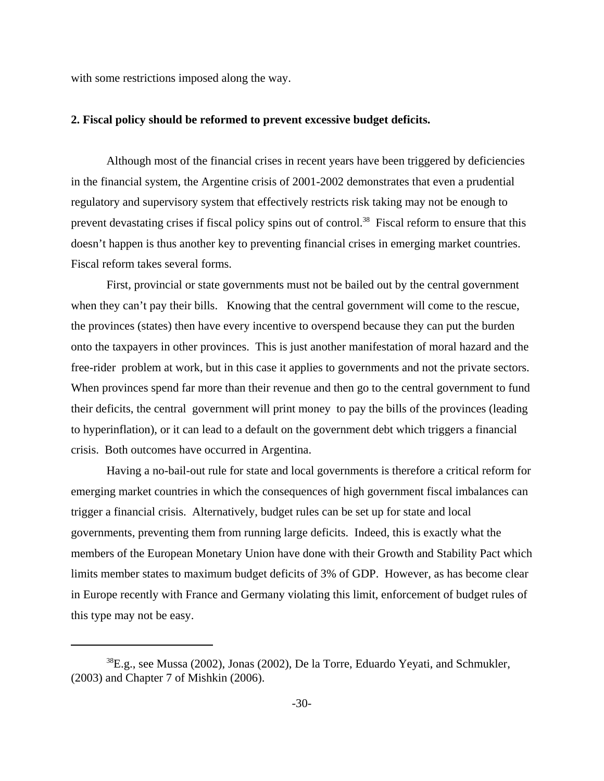with some restrictions imposed along the way.

#### **2. Fiscal policy should be reformed to prevent excessive budget deficits.**

Although most of the financial crises in recent years have been triggered by deficiencies in the financial system, the Argentine crisis of 2001-2002 demonstrates that even a prudential regulatory and supervisory system that effectively restricts risk taking may not be enough to prevent devastating crises if fiscal policy spins out of control.<sup>38</sup> Fiscal reform to ensure that this doesn't happen is thus another key to preventing financial crises in emerging market countries. Fiscal reform takes several forms.

First, provincial or state governments must not be bailed out by the central government when they can't pay their bills. Knowing that the central government will come to the rescue, the provinces (states) then have every incentive to overspend because they can put the burden onto the taxpayers in other provinces. This is just another manifestation of moral hazard and the free-rider problem at work, but in this case it applies to governments and not the private sectors. When provinces spend far more than their revenue and then go to the central government to fund their deficits, the central government will print money to pay the bills of the provinces (leading to hyperinflation), or it can lead to a default on the government debt which triggers a financial crisis. Both outcomes have occurred in Argentina.

Having a no-bail-out rule for state and local governments is therefore a critical reform for emerging market countries in which the consequences of high government fiscal imbalances can trigger a financial crisis. Alternatively, budget rules can be set up for state and local governments, preventing them from running large deficits. Indeed, this is exactly what the members of the European Monetary Union have done with their Growth and Stability Pact which limits member states to maximum budget deficits of 3% of GDP. However, as has become clear in Europe recently with France and Germany violating this limit, enforcement of budget rules of this type may not be easy.

<sup>38</sup>E.g., see Mussa (2002), Jonas (2002), De la Torre, Eduardo Yeyati, and Schmukler, (2003) and Chapter 7 of Mishkin (2006).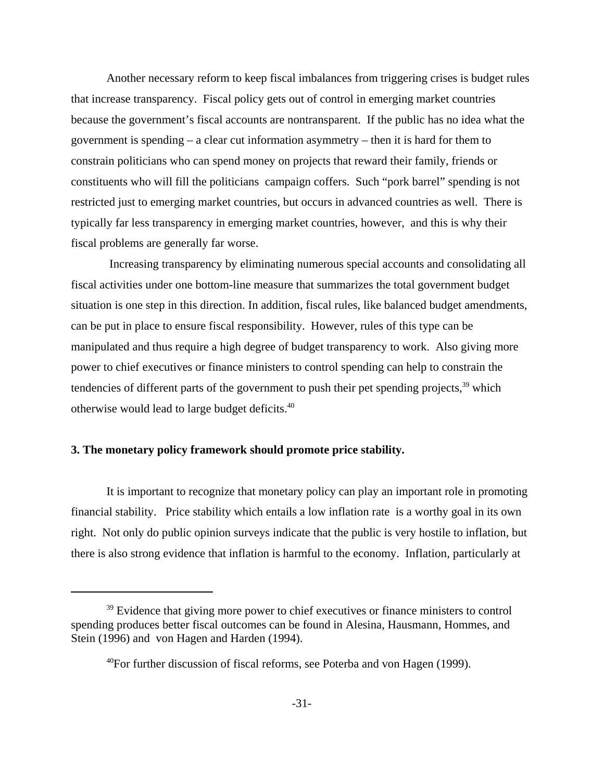Another necessary reform to keep fiscal imbalances from triggering crises is budget rules that increase transparency. Fiscal policy gets out of control in emerging market countries because the government's fiscal accounts are nontransparent. If the public has no idea what the government is spending – a clear cut information asymmetry – then it is hard for them to constrain politicians who can spend money on projects that reward their family, friends or constituents who will fill the politicians campaign coffers. Such "pork barrel" spending is not restricted just to emerging market countries, but occurs in advanced countries as well. There is typically far less transparency in emerging market countries, however, and this is why their fiscal problems are generally far worse.

 Increasing transparency by eliminating numerous special accounts and consolidating all fiscal activities under one bottom-line measure that summarizes the total government budget situation is one step in this direction. In addition, fiscal rules, like balanced budget amendments, can be put in place to ensure fiscal responsibility. However, rules of this type can be manipulated and thus require a high degree of budget transparency to work. Also giving more power to chief executives or finance ministers to control spending can help to constrain the tendencies of different parts of the government to push their pet spending projects, $39$  which otherwise would lead to large budget deficits.40

# **3. The monetary policy framework should promote price stability.**

It is important to recognize that monetary policy can play an important role in promoting financial stability. Price stability which entails a low inflation rate is a worthy goal in its own right. Not only do public opinion surveys indicate that the public is very hostile to inflation, but there is also strong evidence that inflation is harmful to the economy. Inflation, particularly at

<sup>&</sup>lt;sup>39</sup> Evidence that giving more power to chief executives or finance ministers to control spending produces better fiscal outcomes can be found in Alesina, Hausmann, Hommes, and Stein (1996) and von Hagen and Harden (1994).

 $^{40}$ For further discussion of fiscal reforms, see Poterba and von Hagen (1999).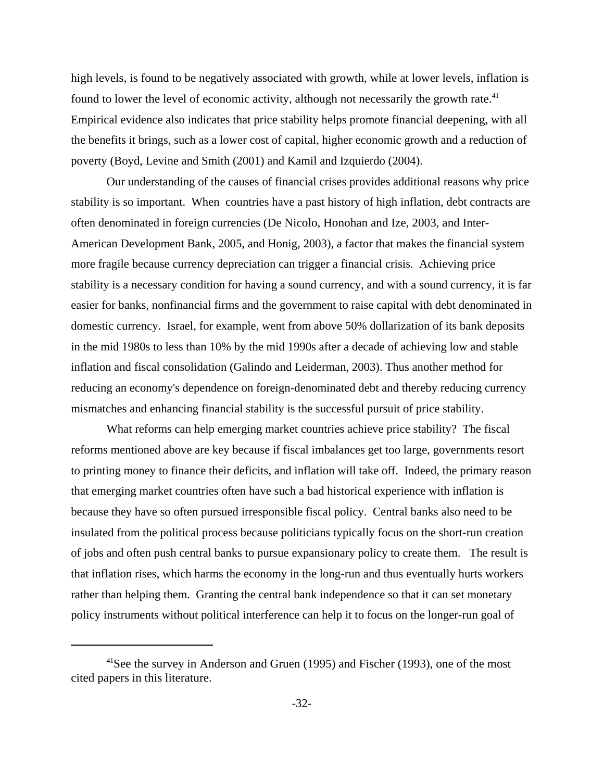high levels, is found to be negatively associated with growth, while at lower levels, inflation is found to lower the level of economic activity, although not necessarily the growth rate.<sup>41</sup> Empirical evidence also indicates that price stability helps promote financial deepening, with all the benefits it brings, such as a lower cost of capital, higher economic growth and a reduction of poverty (Boyd, Levine and Smith (2001) and Kamil and Izquierdo (2004).

Our understanding of the causes of financial crises provides additional reasons why price stability is so important. When countries have a past history of high inflation, debt contracts are often denominated in foreign currencies (De Nicolo, Honohan and Ize, 2003, and Inter-American Development Bank, 2005, and Honig, 2003), a factor that makes the financial system more fragile because currency depreciation can trigger a financial crisis. Achieving price stability is a necessary condition for having a sound currency, and with a sound currency, it is far easier for banks, nonfinancial firms and the government to raise capital with debt denominated in domestic currency. Israel, for example, went from above 50% dollarization of its bank deposits in the mid 1980s to less than 10% by the mid 1990s after a decade of achieving low and stable inflation and fiscal consolidation (Galindo and Leiderman, 2003). Thus another method for reducing an economy's dependence on foreign-denominated debt and thereby reducing currency mismatches and enhancing financial stability is the successful pursuit of price stability.

What reforms can help emerging market countries achieve price stability? The fiscal reforms mentioned above are key because if fiscal imbalances get too large, governments resort to printing money to finance their deficits, and inflation will take off. Indeed, the primary reason that emerging market countries often have such a bad historical experience with inflation is because they have so often pursued irresponsible fiscal policy. Central banks also need to be insulated from the political process because politicians typically focus on the short-run creation of jobs and often push central banks to pursue expansionary policy to create them. The result is that inflation rises, which harms the economy in the long-run and thus eventually hurts workers rather than helping them. Granting the central bank independence so that it can set monetary policy instruments without political interference can help it to focus on the longer-run goal of

<sup>&</sup>lt;sup>41</sup>See the survey in Anderson and Gruen (1995) and Fischer (1993), one of the most cited papers in this literature.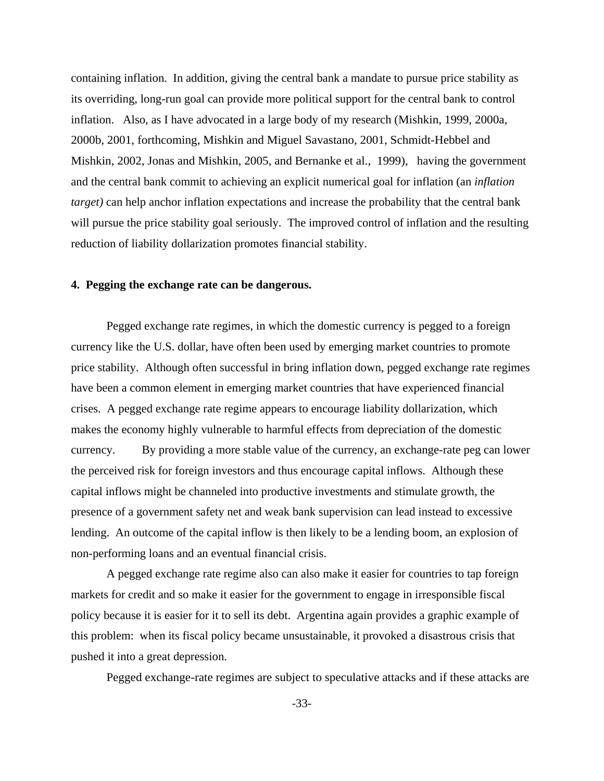containing inflation. In addition, giving the central bank a mandate to pursue price stability as its overriding, long-run goal can provide more political support for the central bank to control inflation. Also, as I have advocated in a large body of my research (Mishkin, 1999, 2000a, 2000b, 2001, forthcoming, Mishkin and Miguel Savastano, 2001, Schmidt-Hebbel and Mishkin, 2002, Jonas and Mishkin, 2005, and Bernanke et al., 1999), having the government and the central bank commit to achieving an explicit numerical goal for inflation (an *inflation target)* can help anchor inflation expectations and increase the probability that the central bank will pursue the price stability goal seriously. The improved control of inflation and the resulting reduction of liability dollarization promotes financial stability.

#### **4. Pegging the exchange rate can be dangerous.**

Pegged exchange rate regimes, in which the domestic currency is pegged to a foreign currency like the U.S. dollar, have often been used by emerging market countries to promote price stability. Although often successful in bring inflation down, pegged exchange rate regimes have been a common element in emerging market countries that have experienced financial crises. A pegged exchange rate regime appears to encourage liability dollarization, which makes the economy highly vulnerable to harmful effects from depreciation of the domestic currency. By providing a more stable value of the currency, an exchange-rate peg can lower the perceived risk for foreign investors and thus encourage capital inflows. Although these capital inflows might be channeled into productive investments and stimulate growth, the presence of a government safety net and weak bank supervision can lead instead to excessive lending. An outcome of the capital inflow is then likely to be a lending boom, an explosion of non-performing loans and an eventual financial crisis.

A pegged exchange rate regime also can also make it easier for countries to tap foreign markets for credit and so make it easier for the government to engage in irresponsible fiscal policy because it is easier for it to sell its debt. Argentina again provides a graphic example of this problem: when its fiscal policy became unsustainable, it provoked a disastrous crisis that pushed it into a great depression.

Pegged exchange-rate regimes are subject to speculative attacks and if these attacks are

-33-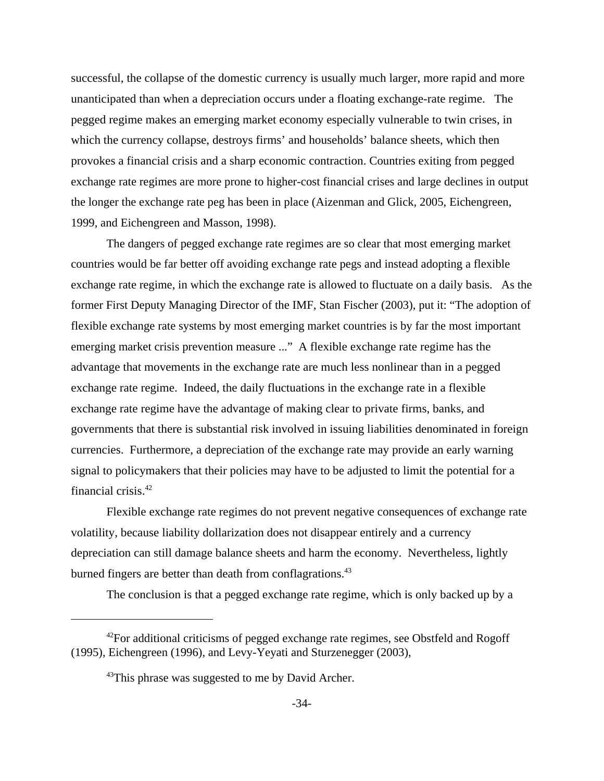successful, the collapse of the domestic currency is usually much larger, more rapid and more unanticipated than when a depreciation occurs under a floating exchange-rate regime. The pegged regime makes an emerging market economy especially vulnerable to twin crises, in which the currency collapse, destroys firms' and households' balance sheets, which then provokes a financial crisis and a sharp economic contraction. Countries exiting from pegged exchange rate regimes are more prone to higher-cost financial crises and large declines in output the longer the exchange rate peg has been in place (Aizenman and Glick, 2005, Eichengreen, 1999, and Eichengreen and Masson, 1998).

The dangers of pegged exchange rate regimes are so clear that most emerging market countries would be far better off avoiding exchange rate pegs and instead adopting a flexible exchange rate regime, in which the exchange rate is allowed to fluctuate on a daily basis. As the former First Deputy Managing Director of the IMF, Stan Fischer (2003), put it: "The adoption of flexible exchange rate systems by most emerging market countries is by far the most important emerging market crisis prevention measure ..." A flexible exchange rate regime has the advantage that movements in the exchange rate are much less nonlinear than in a pegged exchange rate regime. Indeed, the daily fluctuations in the exchange rate in a flexible exchange rate regime have the advantage of making clear to private firms, banks, and governments that there is substantial risk involved in issuing liabilities denominated in foreign currencies. Furthermore, a depreciation of the exchange rate may provide an early warning signal to policymakers that their policies may have to be adjusted to limit the potential for a financial crisis.42

Flexible exchange rate regimes do not prevent negative consequences of exchange rate volatility, because liability dollarization does not disappear entirely and a currency depreciation can still damage balance sheets and harm the economy. Nevertheless, lightly burned fingers are better than death from conflagrations.<sup>43</sup>

The conclusion is that a pegged exchange rate regime, which is only backed up by a

 $42$ For additional criticisms of pegged exchange rate regimes, see Obstfeld and Rogoff (1995), Eichengreen (1996), and Levy-Yeyati and Sturzenegger (2003),

 $43$ This phrase was suggested to me by David Archer.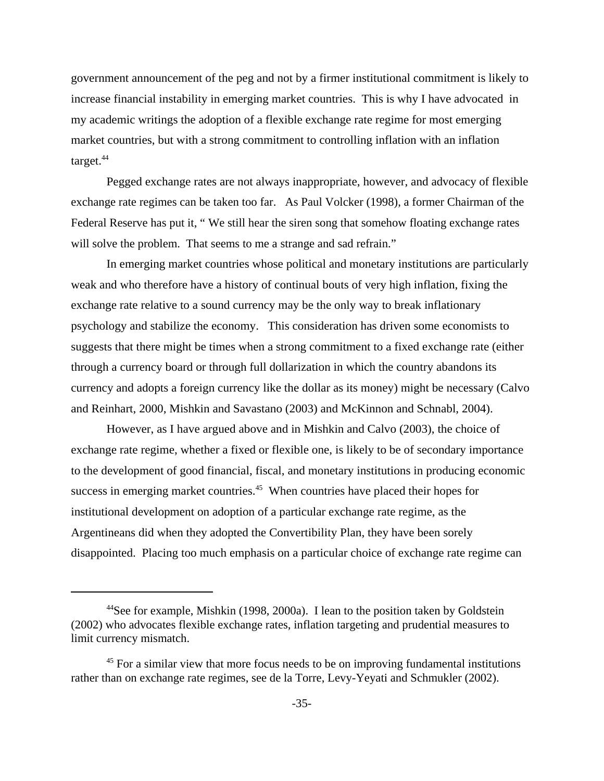government announcement of the peg and not by a firmer institutional commitment is likely to increase financial instability in emerging market countries. This is why I have advocated in my academic writings the adoption of a flexible exchange rate regime for most emerging market countries, but with a strong commitment to controlling inflation with an inflation target.<sup>44</sup>

Pegged exchange rates are not always inappropriate, however, and advocacy of flexible exchange rate regimes can be taken too far. As Paul Volcker (1998), a former Chairman of the Federal Reserve has put it, " We still hear the siren song that somehow floating exchange rates will solve the problem. That seems to me a strange and sad refrain."

In emerging market countries whose political and monetary institutions are particularly weak and who therefore have a history of continual bouts of very high inflation, fixing the exchange rate relative to a sound currency may be the only way to break inflationary psychology and stabilize the economy. This consideration has driven some economists to suggests that there might be times when a strong commitment to a fixed exchange rate (either through a currency board or through full dollarization in which the country abandons its currency and adopts a foreign currency like the dollar as its money) might be necessary (Calvo and Reinhart, 2000, Mishkin and Savastano (2003) and McKinnon and Schnabl, 2004).

However, as I have argued above and in Mishkin and Calvo (2003), the choice of exchange rate regime, whether a fixed or flexible one, is likely to be of secondary importance to the development of good financial, fiscal, and monetary institutions in producing economic success in emerging market countries.<sup>45</sup> When countries have placed their hopes for institutional development on adoption of a particular exchange rate regime, as the Argentineans did when they adopted the Convertibility Plan, they have been sorely disappointed. Placing too much emphasis on a particular choice of exchange rate regime can

<sup>&</sup>lt;sup>44</sup>See for example, Mishkin (1998, 2000a). I lean to the position taken by Goldstein (2002) who advocates flexible exchange rates, inflation targeting and prudential measures to limit currency mismatch.

<sup>&</sup>lt;sup>45</sup> For a similar view that more focus needs to be on improving fundamental institutions rather than on exchange rate regimes, see de la Torre, Levy-Yeyati and Schmukler (2002).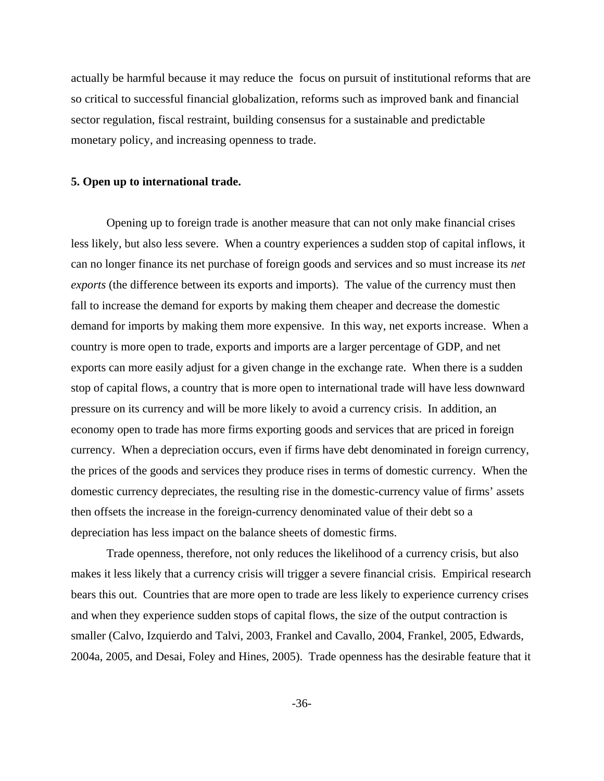actually be harmful because it may reduce the focus on pursuit of institutional reforms that are so critical to successful financial globalization, reforms such as improved bank and financial sector regulation, fiscal restraint, building consensus for a sustainable and predictable monetary policy, and increasing openness to trade.

#### **5. Open up to international trade.**

Opening up to foreign trade is another measure that can not only make financial crises less likely, but also less severe. When a country experiences a sudden stop of capital inflows, it can no longer finance its net purchase of foreign goods and services and so must increase its *net exports* (the difference between its exports and imports). The value of the currency must then fall to increase the demand for exports by making them cheaper and decrease the domestic demand for imports by making them more expensive. In this way, net exports increase. When a country is more open to trade, exports and imports are a larger percentage of GDP, and net exports can more easily adjust for a given change in the exchange rate. When there is a sudden stop of capital flows, a country that is more open to international trade will have less downward pressure on its currency and will be more likely to avoid a currency crisis. In addition, an economy open to trade has more firms exporting goods and services that are priced in foreign currency. When a depreciation occurs, even if firms have debt denominated in foreign currency, the prices of the goods and services they produce rises in terms of domestic currency. When the domestic currency depreciates, the resulting rise in the domestic-currency value of firms' assets then offsets the increase in the foreign-currency denominated value of their debt so a depreciation has less impact on the balance sheets of domestic firms.

Trade openness, therefore, not only reduces the likelihood of a currency crisis, but also makes it less likely that a currency crisis will trigger a severe financial crisis. Empirical research bears this out. Countries that are more open to trade are less likely to experience currency crises and when they experience sudden stops of capital flows, the size of the output contraction is smaller (Calvo, Izquierdo and Talvi, 2003, Frankel and Cavallo, 2004, Frankel, 2005, Edwards, 2004a, 2005, and Desai, Foley and Hines, 2005). Trade openness has the desirable feature that it

-36-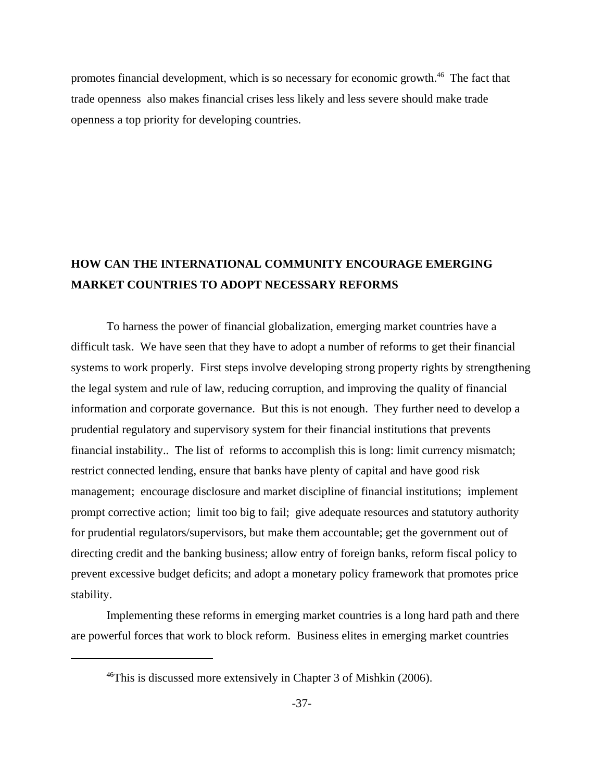promotes financial development, which is so necessary for economic growth.46 The fact that trade openness also makes financial crises less likely and less severe should make trade openness a top priority for developing countries.

# **HOW CAN THE INTERNATIONAL COMMUNITY ENCOURAGE EMERGING MARKET COUNTRIES TO ADOPT NECESSARY REFORMS**

To harness the power of financial globalization, emerging market countries have a difficult task. We have seen that they have to adopt a number of reforms to get their financial systems to work properly. First steps involve developing strong property rights by strengthening the legal system and rule of law, reducing corruption, and improving the quality of financial information and corporate governance. But this is not enough. They further need to develop a prudential regulatory and supervisory system for their financial institutions that prevents financial instability.. The list of reforms to accomplish this is long: limit currency mismatch; restrict connected lending, ensure that banks have plenty of capital and have good risk management; encourage disclosure and market discipline of financial institutions; implement prompt corrective action; limit too big to fail; give adequate resources and statutory authority for prudential regulators/supervisors, but make them accountable; get the government out of directing credit and the banking business; allow entry of foreign banks, reform fiscal policy to prevent excessive budget deficits; and adopt a monetary policy framework that promotes price stability.

Implementing these reforms in emerging market countries is a long hard path and there are powerful forces that work to block reform. Business elites in emerging market countries

 $46$ This is discussed more extensively in Chapter 3 of Mishkin (2006).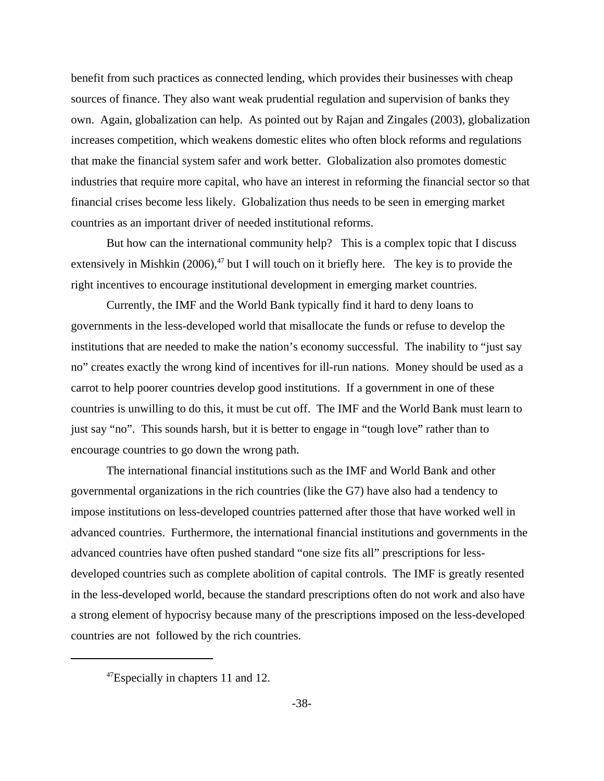benefit from such practices as connected lending, which provides their businesses with cheap sources of finance. They also want weak prudential regulation and supervision of banks they own. Again, globalization can help. As pointed out by Rajan and Zingales (2003), globalization increases competition, which weakens domestic elites who often block reforms and regulations that make the financial system safer and work better. Globalization also promotes domestic industries that require more capital, who have an interest in reforming the financial sector so that financial crises become less likely. Globalization thus needs to be seen in emerging market countries as an important driver of needed institutional reforms.

But how can the international community help? This is a complex topic that I discuss extensively in Mishkin  $(2006)$ ,<sup>47</sup> but I will touch on it briefly here. The key is to provide the right incentives to encourage institutional development in emerging market countries.

Currently, the IMF and the World Bank typically find it hard to deny loans to governments in the less-developed world that misallocate the funds or refuse to develop the institutions that are needed to make the nation's economy successful. The inability to "just say no" creates exactly the wrong kind of incentives for ill-run nations. Money should be used as a carrot to help poorer countries develop good institutions. If a government in one of these countries is unwilling to do this, it must be cut off. The IMF and the World Bank must learn to just say "no". This sounds harsh, but it is better to engage in "tough love" rather than to encourage countries to go down the wrong path.

The international financial institutions such as the IMF and World Bank and other governmental organizations in the rich countries (like the G7) have also had a tendency to impose institutions on less-developed countries patterned after those that have worked well in advanced countries. Furthermore, the international financial institutions and governments in the advanced countries have often pushed standard "one size fits all" prescriptions for lessdeveloped countries such as complete abolition of capital controls. The IMF is greatly resented in the less-developed world, because the standard prescriptions often do not work and also have a strong element of hypocrisy because many of the prescriptions imposed on the less-developed countries are not followed by the rich countries.

 $47$ Especially in chapters 11 and 12.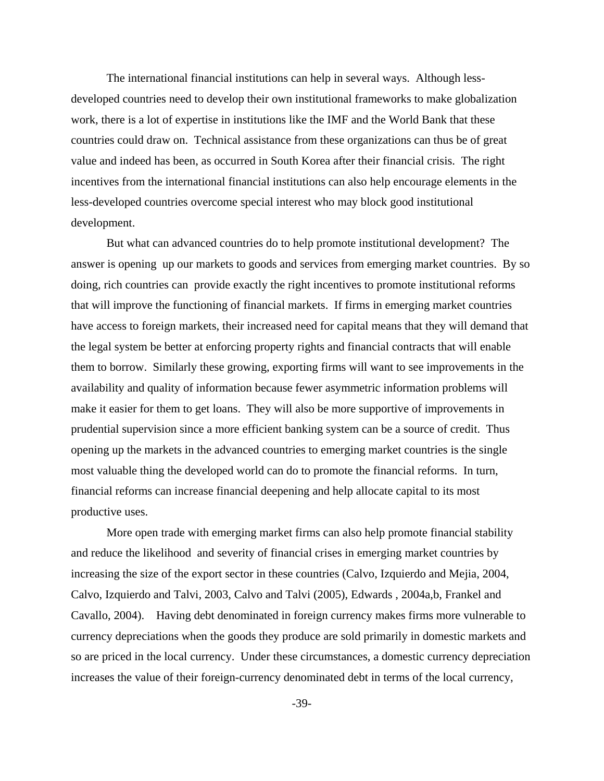The international financial institutions can help in several ways. Although lessdeveloped countries need to develop their own institutional frameworks to make globalization work, there is a lot of expertise in institutions like the IMF and the World Bank that these countries could draw on. Technical assistance from these organizations can thus be of great value and indeed has been, as occurred in South Korea after their financial crisis. The right incentives from the international financial institutions can also help encourage elements in the less-developed countries overcome special interest who may block good institutional development.

But what can advanced countries do to help promote institutional development? The answer is opening up our markets to goods and services from emerging market countries. By so doing, rich countries can provide exactly the right incentives to promote institutional reforms that will improve the functioning of financial markets. If firms in emerging market countries have access to foreign markets, their increased need for capital means that they will demand that the legal system be better at enforcing property rights and financial contracts that will enable them to borrow. Similarly these growing, exporting firms will want to see improvements in the availability and quality of information because fewer asymmetric information problems will make it easier for them to get loans. They will also be more supportive of improvements in prudential supervision since a more efficient banking system can be a source of credit. Thus opening up the markets in the advanced countries to emerging market countries is the single most valuable thing the developed world can do to promote the financial reforms. In turn, financial reforms can increase financial deepening and help allocate capital to its most productive uses.

More open trade with emerging market firms can also help promote financial stability and reduce the likelihood and severity of financial crises in emerging market countries by increasing the size of the export sector in these countries (Calvo, Izquierdo and Mejia, 2004, Calvo, Izquierdo and Talvi, 2003, Calvo and Talvi (2005), Edwards , 2004a,b, Frankel and Cavallo, 2004).Having debt denominated in foreign currency makes firms more vulnerable to currency depreciations when the goods they produce are sold primarily in domestic markets and so are priced in the local currency. Under these circumstances, a domestic currency depreciation increases the value of their foreign-currency denominated debt in terms of the local currency,

-39-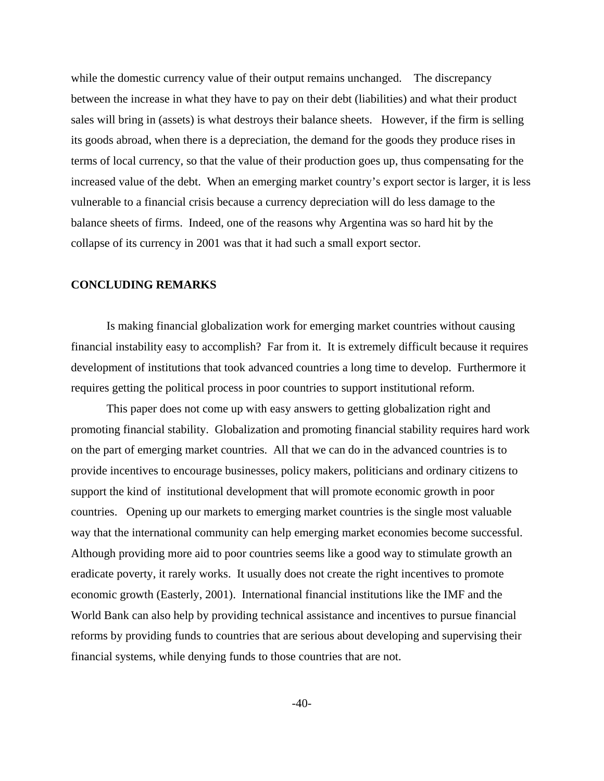while the domestic currency value of their output remains unchanged. The discrepancy between the increase in what they have to pay on their debt (liabilities) and what their product sales will bring in (assets) is what destroys their balance sheets. However, if the firm is selling its goods abroad, when there is a depreciation, the demand for the goods they produce rises in terms of local currency, so that the value of their production goes up, thus compensating for the increased value of the debt. When an emerging market country's export sector is larger, it is less vulnerable to a financial crisis because a currency depreciation will do less damage to the balance sheets of firms. Indeed, one of the reasons why Argentina was so hard hit by the collapse of its currency in 2001 was that it had such a small export sector.

#### **CONCLUDING REMARKS**

Is making financial globalization work for emerging market countries without causing financial instability easy to accomplish? Far from it. It is extremely difficult because it requires development of institutions that took advanced countries a long time to develop. Furthermore it requires getting the political process in poor countries to support institutional reform.

This paper does not come up with easy answers to getting globalization right and promoting financial stability. Globalization and promoting financial stability requires hard work on the part of emerging market countries. All that we can do in the advanced countries is to provide incentives to encourage businesses, policy makers, politicians and ordinary citizens to support the kind of institutional development that will promote economic growth in poor countries. Opening up our markets to emerging market countries is the single most valuable way that the international community can help emerging market economies become successful. Although providing more aid to poor countries seems like a good way to stimulate growth an eradicate poverty, it rarely works. It usually does not create the right incentives to promote economic growth (Easterly, 2001). International financial institutions like the IMF and the World Bank can also help by providing technical assistance and incentives to pursue financial reforms by providing funds to countries that are serious about developing and supervising their financial systems, while denying funds to those countries that are not.

 $-40-$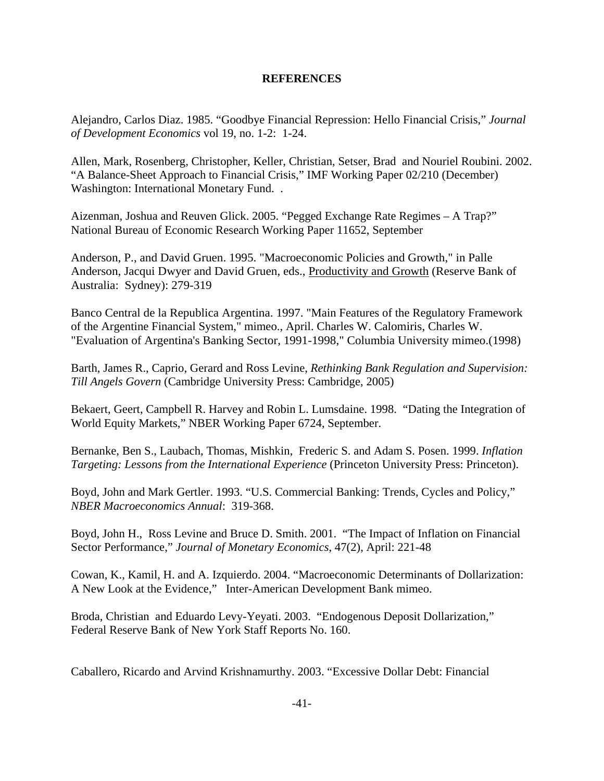# **REFERENCES**

Alejandro, Carlos Diaz. 1985. "Goodbye Financial Repression: Hello Financial Crisis," *Journal of Development Economics* vol 19, no. 1-2: 1-24.

Allen, Mark, Rosenberg, Christopher, Keller, Christian, Setser, Brad and Nouriel Roubini. 2002. "A Balance-Sheet Approach to Financial Crisis," IMF Working Paper 02/210 (December) Washington: International Monetary Fund. .

Aizenman, Joshua and Reuven Glick. 2005. "Pegged Exchange Rate Regimes – A Trap?" National Bureau of Economic Research Working Paper 11652, September

Anderson, P., and David Gruen. 1995. "Macroeconomic Policies and Growth," in Palle Anderson, Jacqui Dwyer and David Gruen, eds., Productivity and Growth (Reserve Bank of Australia: Sydney): 279-319

Banco Central de la Republica Argentina. 1997. "Main Features of the Regulatory Framework of the Argentine Financial System," mimeo., April. Charles W. Calomiris, Charles W. "Evaluation of Argentina's Banking Sector, 1991-1998," Columbia University mimeo.(1998)

Barth, James R., Caprio, Gerard and Ross Levine, *Rethinking Bank Regulation and Supervision: Till Angels Govern* (Cambridge University Press: Cambridge, 2005)

Bekaert, Geert, Campbell R. Harvey and Robin L. Lumsdaine. 1998. "Dating the Integration of World Equity Markets," NBER Working Paper 6724, September.

Bernanke, Ben S., Laubach, Thomas, Mishkin, Frederic S. and Adam S. Posen. 1999. *Inflation Targeting: Lessons from the International Experience* (Princeton University Press: Princeton).

Boyd, John and Mark Gertler. 1993. "U.S. Commercial Banking: Trends, Cycles and Policy," *NBER Macroeconomics Annual*: 319-368.

Boyd, John H., Ross Levine and Bruce D. Smith. 2001. "The Impact of Inflation on Financial Sector Performance," *Journal of Monetary Economics*, 47(2), April: 221-48

Cowan, K., Kamil, H. and A. Izquierdo. 2004. "Macroeconomic Determinants of Dollarization: A New Look at the Evidence," Inter-American Development Bank mimeo.

Broda, Christian and Eduardo Levy-Yeyati. 2003. "Endogenous Deposit Dollarization," Federal Reserve Bank of New York Staff Reports No. 160.

Caballero, Ricardo and Arvind Krishnamurthy. 2003. "Excessive Dollar Debt: Financial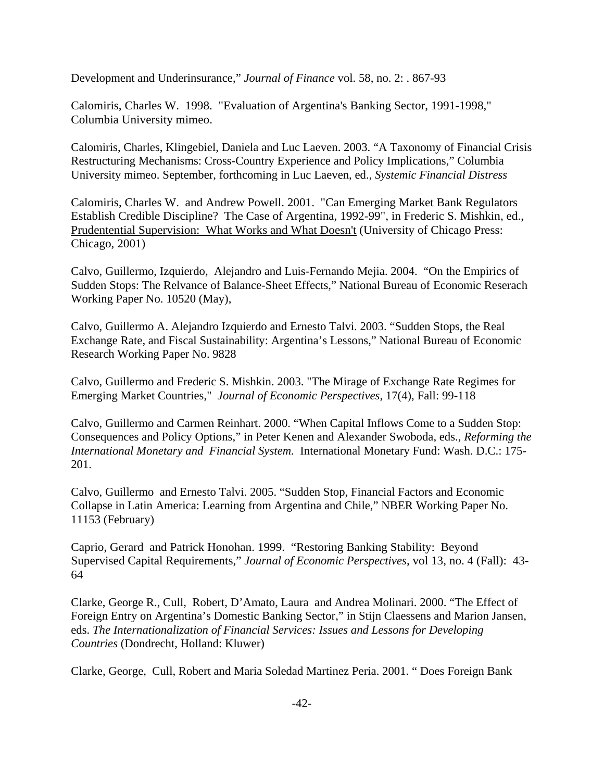Development and Underinsurance," *Journal of Finance* vol. 58, no. 2: . 867-93

Calomiris, Charles W. 1998. "Evaluation of Argentina's Banking Sector, 1991-1998," Columbia University mimeo.

Calomiris, Charles, Klingebiel, Daniela and Luc Laeven. 2003. "A Taxonomy of Financial Crisis Restructuring Mechanisms: Cross-Country Experience and Policy Implications," Columbia University mimeo. September, forthcoming in Luc Laeven, ed., *Systemic Financial Distress*

Calomiris, Charles W. and Andrew Powell. 2001. "Can Emerging Market Bank Regulators Establish Credible Discipline? The Case of Argentina, 1992-99", in Frederic S. Mishkin, ed., Prudentential Supervision: What Works and What Doesn't (University of Chicago Press: Chicago, 2001)

Calvo, Guillermo, Izquierdo, Alejandro and Luis-Fernando Mejia. 2004. "On the Empirics of Sudden Stops: The Relvance of Balance-Sheet Effects," National Bureau of Economic Reserach Working Paper No. 10520 (May),

Calvo, Guillermo A. Alejandro Izquierdo and Ernesto Talvi. 2003. "Sudden Stops, the Real Exchange Rate, and Fiscal Sustainability: Argentina's Lessons," National Bureau of Economic Research Working Paper No. 9828

Calvo, Guillermo and Frederic S. Mishkin. 2003. "The Mirage of Exchange Rate Regimes for Emerging Market Countries," *Journal of Economic Perspectives*, 17(4), Fall: 99-118

Calvo, Guillermo and Carmen Reinhart. 2000. "When Capital Inflows Come to a Sudden Stop: Consequences and Policy Options," in Peter Kenen and Alexander Swoboda, eds., *Reforming the International Monetary and Financial System.* International Monetary Fund: Wash. D.C.: 175- 201.

Calvo, Guillermo and Ernesto Talvi. 2005. "Sudden Stop, Financial Factors and Economic Collapse in Latin America: Learning from Argentina and Chile," NBER Working Paper No. 11153 (February)

Caprio, Gerard and Patrick Honohan. 1999. "Restoring Banking Stability: Beyond Supervised Capital Requirements," *Journal of Economic Perspectives*, vol 13, no. 4 (Fall): 43- 64

Clarke, George R., Cull, Robert, D'Amato, Laura and Andrea Molinari. 2000. "The Effect of Foreign Entry on Argentina's Domestic Banking Sector," in Stijn Claessens and Marion Jansen, eds. *The Internationalization of Financial Services: Issues and Lessons for Developing Countries* (Dondrecht, Holland: Kluwer)

Clarke, George, Cull, Robert and Maria Soledad Martinez Peria. 2001. " Does Foreign Bank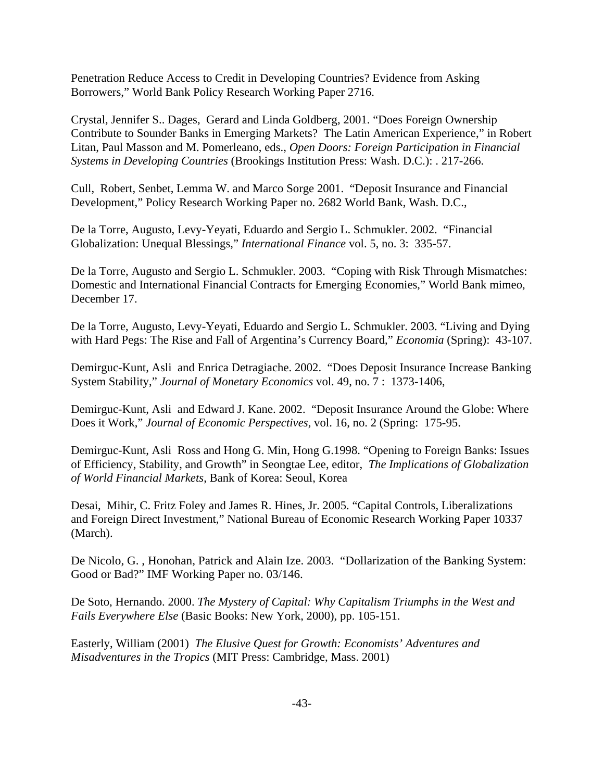Penetration Reduce Access to Credit in Developing Countries? Evidence from Asking Borrowers," World Bank Policy Research Working Paper 2716.

Crystal, Jennifer S.. Dages, Gerard and Linda Goldberg, 2001. "Does Foreign Ownership Contribute to Sounder Banks in Emerging Markets? The Latin American Experience," in Robert Litan, Paul Masson and M. Pomerleano, eds., *Open Doors: Foreign Participation in Financial Systems in Developing Countries* (Brookings Institution Press: Wash. D.C.): . 217-266.

Cull, Robert, Senbet, Lemma W. and Marco Sorge 2001. "Deposit Insurance and Financial Development," Policy Research Working Paper no. 2682 World Bank, Wash. D.C.,

De la Torre, Augusto, Levy-Yeyati, Eduardo and Sergio L. Schmukler. 2002. "Financial Globalization: Unequal Blessings," *International Finance* vol. 5, no. 3: 335-57.

De la Torre, Augusto and Sergio L. Schmukler. 2003. "Coping with Risk Through Mismatches: Domestic and International Financial Contracts for Emerging Economies," World Bank mimeo, December 17.

De la Torre, Augusto, Levy-Yeyati, Eduardo and Sergio L. Schmukler. 2003. "Living and Dying with Hard Pegs: The Rise and Fall of Argentina's Currency Board," *Economia* (Spring): 43-107.

Demirguc-Kunt, Asli and Enrica Detragiache. 2002. "Does Deposit Insurance Increase Banking System Stability," *Journal of Monetary Economics* vol. 49, no. 7 : 1373-1406,

Demirguc-Kunt, Asli and Edward J. Kane. 2002. "Deposit Insurance Around the Globe: Where Does it Work," *Journal of Economic Perspectives,* vol. 16, no. 2 (Spring: 175-95.

Demirguc-Kunt, Asli Ross and Hong G. Min, Hong G.1998. "Opening to Foreign Banks: Issues of Efficiency, Stability, and Growth" in Seongtae Lee, editor, *The Implications of Globalization of World Financial Markets*, Bank of Korea: Seoul, Korea

Desai, Mihir, C. Fritz Foley and James R. Hines, Jr. 2005. "Capital Controls, Liberalizations and Foreign Direct Investment," National Bureau of Economic Research Working Paper 10337 (March).

De Nicolo, G. , Honohan, Patrick and Alain Ize. 2003. "Dollarization of the Banking System: Good or Bad?" IMF Working Paper no. 03/146.

De Soto, Hernando. 2000. *The Mystery of Capital: Why Capitalism Triumphs in the West and Fails Everywhere Else* (Basic Books: New York, 2000), pp. 105-151.

Easterly, William (2001) *The Elusive Quest for Growth: Economists' Adventures and Misadventures in the Tropics* (MIT Press: Cambridge, Mass. 2001)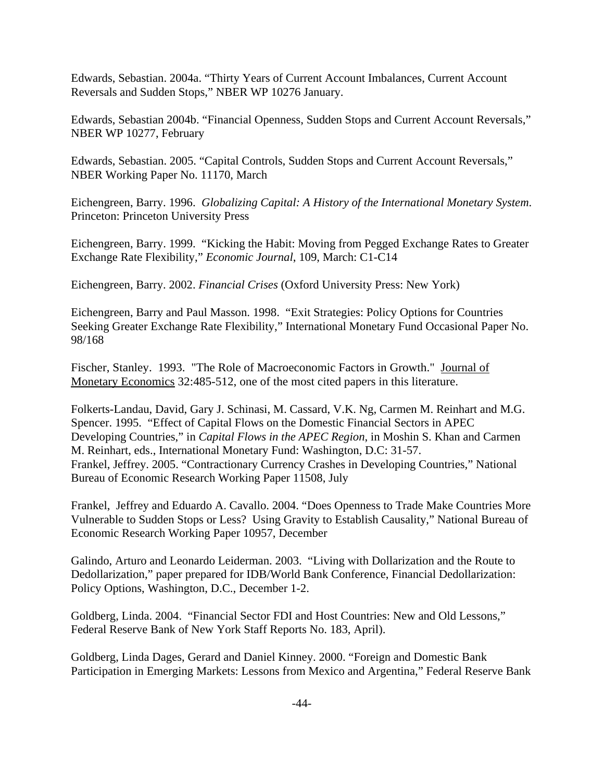Edwards, Sebastian. 2004a. "Thirty Years of Current Account Imbalances, Current Account Reversals and Sudden Stops," NBER WP 10276 January.

Edwards, Sebastian 2004b. "Financial Openness, Sudden Stops and Current Account Reversals," NBER WP 10277, February

Edwards, Sebastian. 2005. "Capital Controls, Sudden Stops and Current Account Reversals," NBER Working Paper No. 11170, March

Eichengreen, Barry. 1996. *Globalizing Capital: A History of the International Monetary System*. Princeton: Princeton University Press

Eichengreen, Barry. 1999. "Kicking the Habit: Moving from Pegged Exchange Rates to Greater Exchange Rate Flexibility," *Economic Journal*, 109, March: C1-C14

Eichengreen, Barry. 2002. *Financial Crises* (Oxford University Press: New York)

Eichengreen, Barry and Paul Masson. 1998. "Exit Strategies: Policy Options for Countries Seeking Greater Exchange Rate Flexibility," International Monetary Fund Occasional Paper No. 98/168

Fischer, Stanley. 1993. "The Role of Macroeconomic Factors in Growth." Journal of Monetary Economics 32:485-512, one of the most cited papers in this literature.

Folkerts-Landau, David, Gary J. Schinasi, M. Cassard, V.K. Ng, Carmen M. Reinhart and M.G. Spencer. 1995. "Effect of Capital Flows on the Domestic Financial Sectors in APEC Developing Countries," in *Capital Flows in the APEC Region*, in Moshin S. Khan and Carmen M. Reinhart, eds., International Monetary Fund: Washington, D.C: 31-57. Frankel, Jeffrey. 2005. "Contractionary Currency Crashes in Developing Countries," National Bureau of Economic Research Working Paper 11508, July

Frankel, Jeffrey and Eduardo A. Cavallo. 2004. "Does Openness to Trade Make Countries More Vulnerable to Sudden Stops or Less? Using Gravity to Establish Causality," National Bureau of Economic Research Working Paper 10957, December

Galindo, Arturo and Leonardo Leiderman. 2003. "Living with Dollarization and the Route to Dedollarization," paper prepared for IDB/World Bank Conference, Financial Dedollarization: Policy Options, Washington, D.C., December 1-2.

Goldberg, Linda. 2004. "Financial Sector FDI and Host Countries: New and Old Lessons," Federal Reserve Bank of New York Staff Reports No. 183, April).

Goldberg, Linda Dages, Gerard and Daniel Kinney. 2000. "Foreign and Domestic Bank Participation in Emerging Markets: Lessons from Mexico and Argentina," Federal Reserve Bank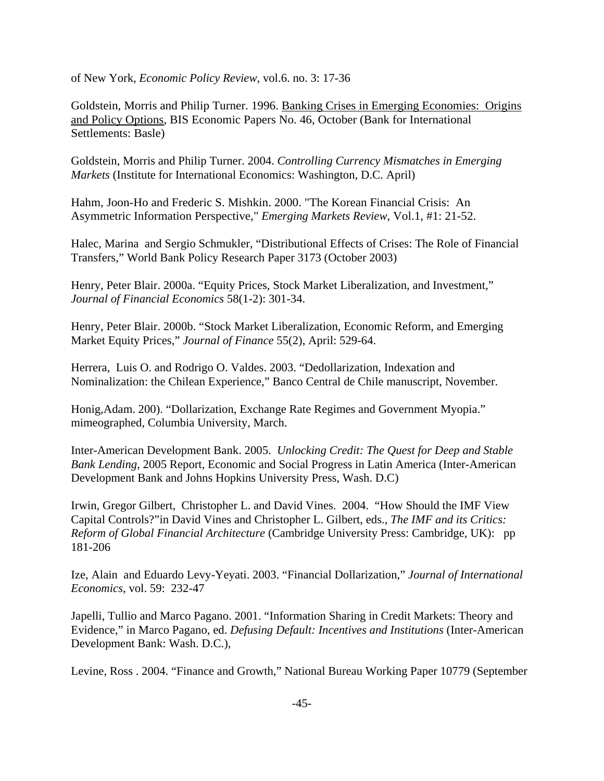of New York, *Economic Policy Review*, vol.6. no. 3: 17-36

Goldstein, Morris and Philip Turner. 1996. Banking Crises in Emerging Economies: Origins and Policy Options, BIS Economic Papers No. 46, October (Bank for International Settlements: Basle)

Goldstein, Morris and Philip Turner. 2004. *Controlling Currency Mismatches in Emerging Markets* (Institute for International Economics: Washington, D.C. April)

Hahm, Joon-Ho and Frederic S. Mishkin. 2000. "The Korean Financial Crisis: An Asymmetric Information Perspective," *Emerging Markets Review*, Vol.1, #1: 21-52.

Halec, Marina and Sergio Schmukler, "Distributional Effects of Crises: The Role of Financial Transfers," World Bank Policy Research Paper 3173 (October 2003)

Henry, Peter Blair. 2000a. "Equity Prices, Stock Market Liberalization, and Investment," *Journal of Financial Economics* 58(1-2): 301-34.

Henry, Peter Blair. 2000b. "Stock Market Liberalization, Economic Reform, and Emerging Market Equity Prices," *Journal of Finance* 55(2), April: 529-64.

Herrera, Luis O. and Rodrigo O. Valdes. 2003. "Dedollarization, Indexation and Nominalization: the Chilean Experience," Banco Central de Chile manuscript, November.

Honig,Adam. 200). "Dollarization, Exchange Rate Regimes and Government Myopia." mimeographed, Columbia University, March.

Inter-American Development Bank. 2005. *Unlocking Credit: The Quest for Deep and Stable Bank Lending*, 2005 Report, Economic and Social Progress in Latin America (Inter-American Development Bank and Johns Hopkins University Press, Wash. D.C)

Irwin, Gregor Gilbert, Christopher L. and David Vines. 2004. "How Should the IMF View Capital Controls?"in David Vines and Christopher L. Gilbert, eds., *The IMF and its Critics: Reform of Global Financial Architecture* (Cambridge University Press: Cambridge, UK): pp 181-206

Ize, Alain and Eduardo Levy-Yeyati. 2003. "Financial Dollarization," *Journal of International Economics*, vol. 59: 232-47

Japelli, Tullio and Marco Pagano. 2001. "Information Sharing in Credit Markets: Theory and Evidence," in Marco Pagano, ed. *Defusing Default: Incentives and Institutions* (Inter-American Development Bank: Wash. D.C.),

Levine, Ross . 2004. "Finance and Growth," National Bureau Working Paper 10779 (September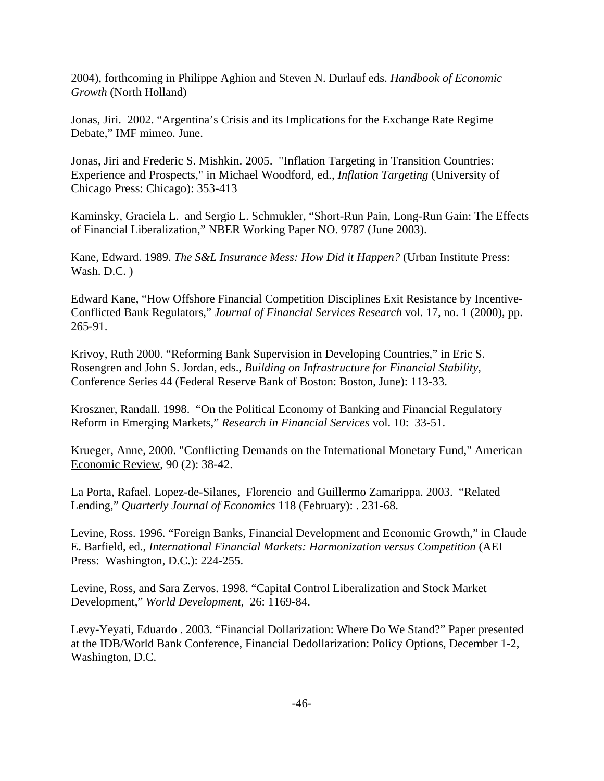2004), forthcoming in Philippe Aghion and Steven N. Durlauf eds. *Handbook of Economic Growth* (North Holland)

Jonas, Jiri. 2002. "Argentina's Crisis and its Implications for the Exchange Rate Regime Debate," IMF mimeo. June.

Jonas, Jiri and Frederic S. Mishkin. 2005. "Inflation Targeting in Transition Countries: Experience and Prospects," in Michael Woodford, ed., *Inflation Targeting* (University of Chicago Press: Chicago): 353-413

Kaminsky, Graciela L. and Sergio L. Schmukler, "Short-Run Pain, Long-Run Gain: The Effects of Financial Liberalization," NBER Working Paper NO. 9787 (June 2003).

Kane, Edward. 1989. *The S&L Insurance Mess: How Did it Happen?* (Urban Institute Press: Wash. D.C. )

Edward Kane, "How Offshore Financial Competition Disciplines Exit Resistance by Incentive-Conflicted Bank Regulators," *Journal of Financial Services Research* vol. 17, no. 1 (2000), pp. 265-91.

Krivoy, Ruth 2000. "Reforming Bank Supervision in Developing Countries," in Eric S. Rosengren and John S. Jordan, eds., *Building on Infrastructure for Financial Stability*, Conference Series 44 (Federal Reserve Bank of Boston: Boston, June): 113-33.

Kroszner, Randall. 1998. "On the Political Economy of Banking and Financial Regulatory Reform in Emerging Markets," *Research in Financial Services* vol. 10: 33-51.

Krueger, Anne, 2000. "Conflicting Demands on the International Monetary Fund," American Economic Review, 90 (2): 38-42.

La Porta, Rafael. Lopez-de-Silanes, Florencio and Guillermo Zamarippa. 2003. "Related Lending," *Quarterly Journal of Economics* 118 (February): . 231-68.

Levine, Ross. 1996. "Foreign Banks, Financial Development and Economic Growth," in Claude E. Barfield, ed., *International Financial Markets: Harmonization versus Competition* (AEI Press: Washington, D.C.): 224-255.

Levine, Ross, and Sara Zervos. 1998. "Capital Control Liberalization and Stock Market Development," *World Development*, 26: 1169-84.

Levy-Yeyati, Eduardo . 2003. "Financial Dollarization: Where Do We Stand?" Paper presented at the IDB/World Bank Conference, Financial Dedollarization: Policy Options, December 1-2, Washington, D.C.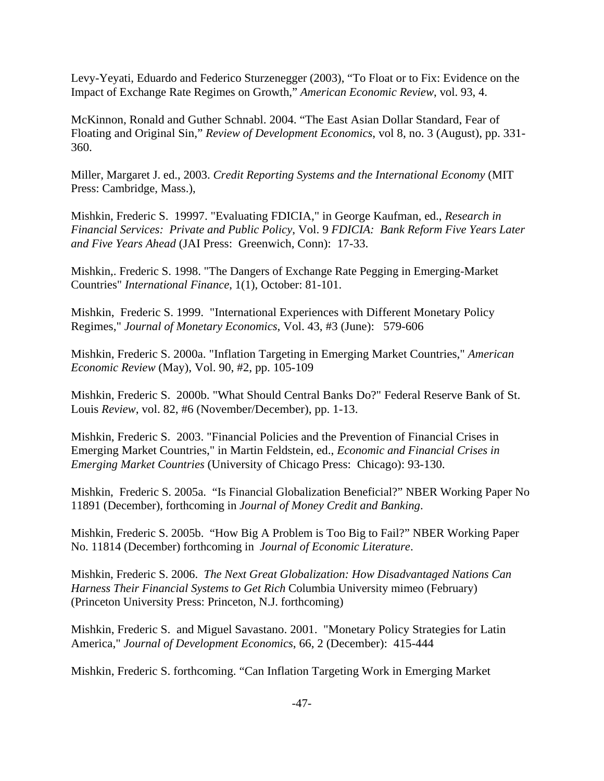Levy-Yeyati, Eduardo and Federico Sturzenegger (2003), "To Float or to Fix: Evidence on the Impact of Exchange Rate Regimes on Growth," *American Economic Review*, vol. 93, 4.

McKinnon, Ronald and Guther Schnabl. 2004. "The East Asian Dollar Standard, Fear of Floating and Original Sin," *Review of Development Economics*, vol 8, no. 3 (August), pp. 331- 360.

Miller, Margaret J. ed., 2003. *Credit Reporting Systems and the International Economy* (MIT Press: Cambridge, Mass.),

Mishkin, Frederic S. 19997. "Evaluating FDICIA," in George Kaufman, ed., *Research in Financial Services: Private and Public Policy*, Vol. 9 *FDICIA: Bank Reform Five Years Later and Five Years Ahead* (JAI Press: Greenwich, Conn): 17-33.

Mishkin,. Frederic S. 1998. "The Dangers of Exchange Rate Pegging in Emerging-Market Countries" *International Finance*, 1(1), October: 81-101.

Mishkin, Frederic S. 1999. "International Experiences with Different Monetary Policy Regimes," *Journal of Monetary Economics*, Vol. 43, #3 (June): 579-606

Mishkin, Frederic S. 2000a. "Inflation Targeting in Emerging Market Countries," *American Economic Review* (May), Vol. 90, #2, pp. 105-109

Mishkin, Frederic S. 2000b. "What Should Central Banks Do?" Federal Reserve Bank of St. Louis *Review*, vol. 82, #6 (November/December), pp. 1-13.

Mishkin, Frederic S. 2003. "Financial Policies and the Prevention of Financial Crises in Emerging Market Countries," in Martin Feldstein, ed., *Economic and Financial Crises in Emerging Market Countries* (University of Chicago Press: Chicago): 93-130.

Mishkin, Frederic S. 2005a. "Is Financial Globalization Beneficial?" NBER Working Paper No 11891 (December), forthcoming in *Journal of Money Credit and Banking*.

Mishkin, Frederic S. 2005b. "How Big A Problem is Too Big to Fail?" NBER Working Paper No. 11814 (December) forthcoming in *Journal of Economic Literature*.

Mishkin, Frederic S. 2006. *The Next Great Globalization: How Disadvantaged Nations Can Harness Their Financial Systems to Get Rich* Columbia University mimeo (February) (Princeton University Press: Princeton, N.J. forthcoming)

Mishkin, Frederic S. and Miguel Savastano. 2001. "Monetary Policy Strategies for Latin America," *Journal of Development Economics*, 66, 2 (December): 415-444

Mishkin, Frederic S. forthcoming. "Can Inflation Targeting Work in Emerging Market